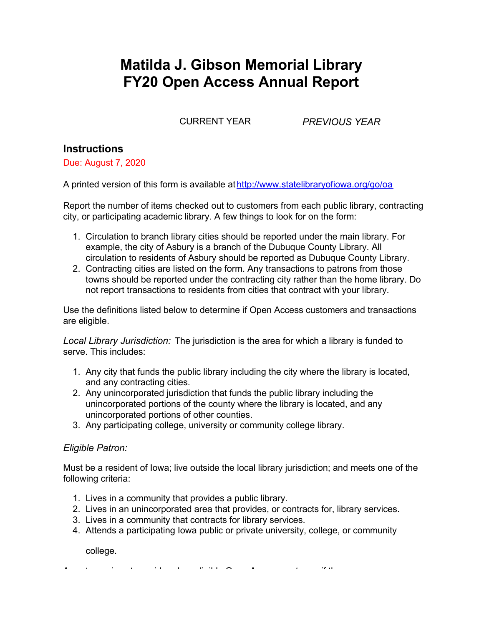# **Matilda J. Gibson Memorial Library FY20 Open Access Annual Report**

CURRENT YEAR *PREVIOUS YEAR*

## **Instructions**

Due: August 7, 2020

A printed version of this form is available at [http://www.statelibraryofiowa.org/go/oa](http://www.statelibraryofiowa.org/ld/e/enrich-ia/open-access/index)

Report the number of items checked out to customers from each public library, contracting city, or participating academic library. A few things to look for on the form:

- 1. Circulation to branch library cities should be reported under the main library. For example, the city of Asbury is a branch of the Dubuque County Library. All circulation to residents of Asbury should be reported as Dubuque County Library.
- 2. Contracting cities are listed on the form. Any transactions to patrons from those towns should be reported under the contracting city rather than the home library. Do not report transactions to residents from cities that contract with your library.

Use the definitions listed below to determine if Open Access customers and transactions are eligible.

*Local Library Jurisdiction:* The jurisdiction is the area for which a library is funded to serve. This includes:

- 1. Any city that funds the public library including the city where the library is located, and any contracting cities.
- 2. Any unincorporated jurisdiction that funds the public library including the unincorporated portions of the county where the library is located, and any unincorporated portions of other counties.
- 3. Any participating college, university or community college library.

#### *Eligible Patron:*

Must be a resident of Iowa; live outside the local library jurisdiction; and meets one of the following criteria:

- 1. Lives in a community that provides a public library.
- 2. Lives in an unincorporated area that provides, or contracts for, library services.
- 3. Lives in a community that contracts for library services.
- 4. Attends a participating Iowa public or private university, college, or community

college.

A customer is not considered an eligible Open Access customer if they are a: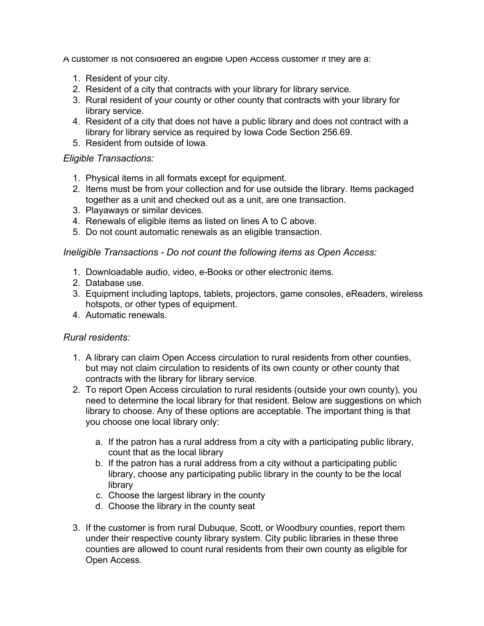A customer is not considered an eligible Open Access customer if they are a:

- 1. Resident of your city.
- 2. Resident of a city that contracts with your library for library service.
- 3. Rural resident of your county or other county that contracts with your library for library service.
- 4. Resident of a city that does not have a public library and does not contract with a library for library service as required by Iowa Code Section 256.69.
- 5. Resident from outside of Iowa.

#### *Eligible Transactions:*

- 1. Physical items in all formats except for equipment.
- 2. Items must be from your collection and for use outside the library. Items packaged together as a unit and checked out as a unit, are one transaction.
- 3. Playaways or similar devices.
- 4. Renewals of eligible items as listed on lines A to C above.
- 5. Do not count automatic renewals as an eligible transaction.

#### *Ineligible Transactions - Do not count the following items as Open Access:*

- 1. Downloadable audio, video, e-Books or other electronic items.
- 2. Database use.
- 3. Equipment including laptops, tablets, projectors, game consoles, eReaders, wireless hotspots, or other types of equipment.
- 4. Automatic renewals.

#### *Rural residents:*

- 1. A library can claim Open Access circulation to rural residents from other counties, but may not claim circulation to residents of its own county or other county that contracts with the library for library service.
- 2. To report Open Access circulation to rural residents (outside your own county), you need to determine the local library for that resident. Below are suggestions on which library to choose. Any of these options are acceptable. The important thing is that you choose one local library only:
	- a. If the patron has a rural address from a city with a participating public library, count that as the local library
	- b. If the patron has a rural address from a city without a participating public library, choose any participating public library in the county to be the local library
	- c. Choose the largest library in the county
	- d. Choose the library in the county seat
- 3. If the customer is from rural Dubuque, Scott, or Woodbury counties, report them under their respective county library system. City public libraries in these three counties are allowed to count rural residents from their own county as eligible for Open Access.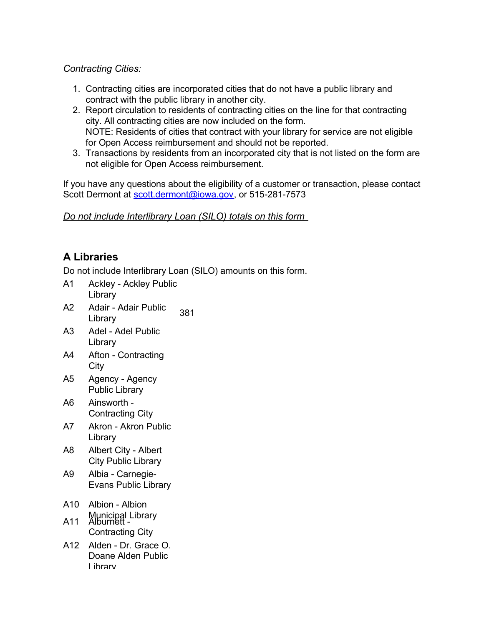#### *Contracting Cities:*

- 1. Contracting cities are incorporated cities that do not have a public library and contract with the public library in another city.
- 2. Report circulation to residents of contracting cities on the line for that contracting city. All contracting cities are now included on the form. NOTE: Residents of cities that contract with your library for service are not eligible for Open Access reimbursement and should not be reported.
- 3. Transactions by residents from an incorporated city that is not listed on the form are not eligible for Open Access reimbursement.

If you have any questions about the eligibility of a customer or transaction, please contact Scott Dermont at [scott.dermont@iowa.gov,](mailto:scott.dermont@iowa.gov) or 515-281-7573

*Do not include Interlibrary Loan (SILO) totals on this form*

## **A Libraries**

- A1 Ackley Ackley Public Library
- A2 Adair Adair Public 381<br>Library
- A3 Adel Adel Public Library
- A4 Afton Contracting City
- A5 Agency Agency Public Library
- A6 Ainsworth Contracting City
- A7 Akron Akron Public Library
- A8 Albert City Albert City Public Library
- A9 Albia Carnegie-Evans Public Library
- A10 Albion Albion
- Municipal Library A11 Alburnett
	- Contracting City
- A12 Alden Dr. Grace O. Doane Alden Public Library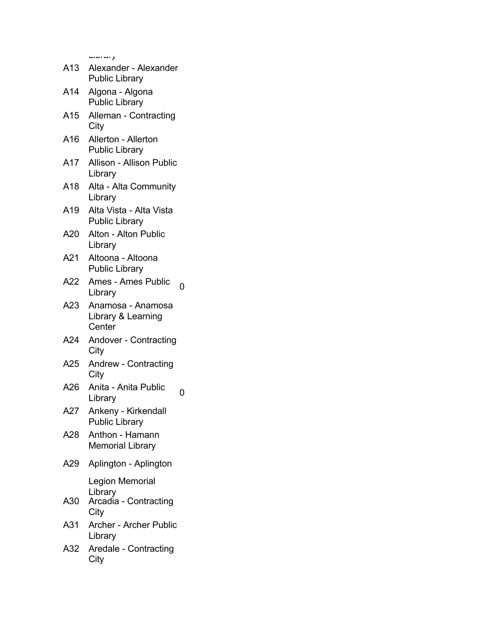| A13 | ر س صاب<br>Alexander - Alexander<br><b>Public Library</b>   |
|-----|-------------------------------------------------------------|
| A14 | Algona - Algona<br><b>Public Library</b>                    |
| A15 | Alleman - Contracting<br>City                               |
| A16 | Allerton - Allerton<br><b>Public Library</b>                |
| A17 | <b>Allison - Allison Public</b><br>Library                  |
| A18 | Alta - Alta Community<br>Library                            |
| A19 | Alta Vista - Alta Vista<br><b>Public Library</b>            |
| A20 | Alton - Alton Public<br>Library                             |
| A21 | Altoona - Altoona<br><b>Public Library</b>                  |
| A22 | <b>Ames - Ames Public</b><br>0<br>Library                   |
| A23 | Anamosa - Anamosa<br>Library & Learning<br>Center           |
| A24 | Andover - Contracting<br>City                               |
| A25 | Andrew - Contracting<br>City                                |
| A26 | Anita - Anita Public<br>0<br>Library                        |
| A27 | Ankeny - Kirkendall<br><b>Public Library</b>                |
| A28 | Anthon - Hamann<br><b>Memorial Library</b>                  |
| A29 | Aplington - Aplington                                       |
| A30 | Legion Memorial<br>Library<br>Arcadia - Contracting<br>City |
| A31 | Archer - Archer Public                                      |

- Library
- A32 Aredale Contracting **City**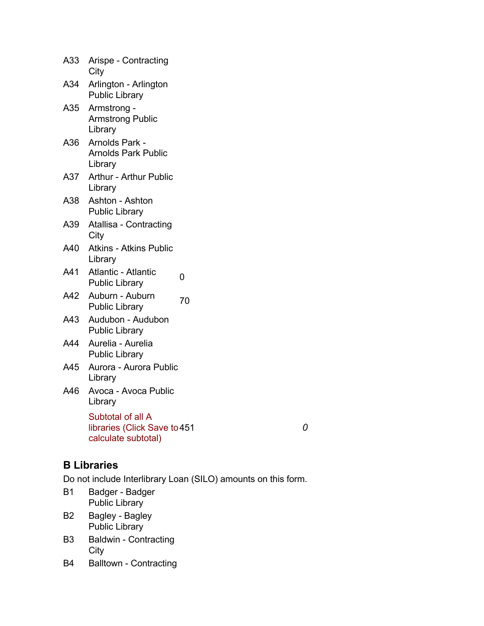| A33 | Arispe - Contracting<br>City                                             |    |   |
|-----|--------------------------------------------------------------------------|----|---|
| A34 | Arlington - Arlington<br><b>Public Library</b>                           |    |   |
| A35 | Armstrong -<br><b>Armstrong Public</b><br>Library                        |    |   |
| A36 | Arnolds Park -<br><b>Arnolds Park Public</b><br>Library                  |    |   |
| A37 | Arthur - Arthur Public<br>Library                                        |    |   |
| A38 | Ashton - Ashton<br><b>Public Library</b>                                 |    |   |
| A39 | Atallisa - Contracting<br>City                                           |    |   |
| A40 | <b>Atkins - Atkins Public</b><br>Library                                 |    |   |
| A41 | <b>Atlantic - Atlantic</b><br><b>Public Library</b>                      | 0  |   |
| A42 | Auburn - Auburn<br><b>Public Library</b>                                 | 70 |   |
| A43 | Audubon - Audubon<br><b>Public Library</b>                               |    |   |
| A44 | Aurelia - Aurelia<br><b>Public Library</b>                               |    |   |
| A45 | Aurora - Aurora Public<br>Library                                        |    |   |
| A46 | Avoca - Avoca Public<br>Library                                          |    |   |
|     | Subtotal of all A<br>libraries (Click Save to 451<br>calculate subtotal) |    | 0 |
|     |                                                                          |    |   |

#### **B Libraries**

- B1 Badger Badger Public Library
- B2 Bagley Bagley Public Library
- B3 Baldwin Contracting City
- B4 Balltown Contracting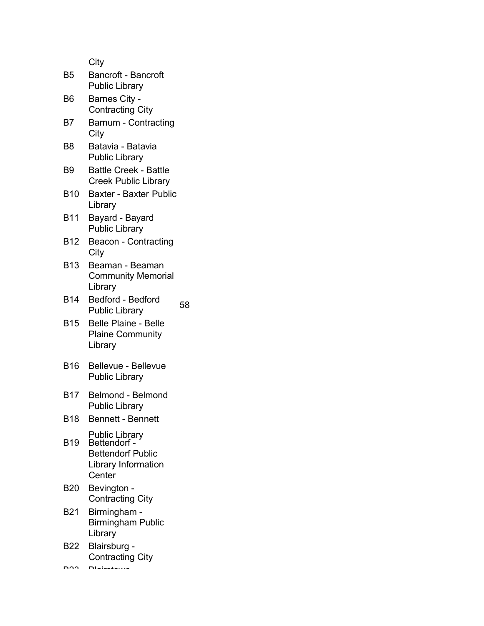| B <sub>5</sub> | Bancroft - Bancroft<br><b>Public Library</b>                                                |    |
|----------------|---------------------------------------------------------------------------------------------|----|
| B6             | Barnes City -<br><b>Contracting City</b>                                                    |    |
| B7             | Barnum - Contracting<br>City                                                                |    |
| B <sub>8</sub> | Batavia - Batavia<br><b>Public Library</b>                                                  |    |
| B9             | <b>Battle Creek - Battle</b><br><b>Creek Public Library</b>                                 |    |
| <b>B10</b>     | <b>Baxter - Baxter Public</b><br>Library                                                    |    |
| <b>B11</b>     | Bayard - Bayard<br><b>Public Library</b>                                                    |    |
| <b>B12</b>     | <b>Beacon - Contracting</b><br>City                                                         |    |
| <b>B13</b>     | Beaman - Beaman<br><b>Community Memorial</b><br>Library                                     |    |
| <b>B14</b>     | <b>Bedford - Bedford</b><br><b>Public Library</b>                                           | 58 |
| <b>B15</b>     | <b>Belle Plaine - Belle</b><br><b>Plaine Community</b><br>Library                           |    |
| <b>B16</b>     | <b>Bellevue - Bellevue</b><br><b>Public Library</b>                                         |    |
| <b>B17</b>     | <b>Belmond - Belmond</b><br><b>Public Library</b>                                           |    |
| <b>B18</b>     | <b>Bennett - Bennett</b>                                                                    |    |
| <b>B19</b>     | Public Library<br>Bettendorf -<br><b>Bettendorf Public</b><br>Library Information<br>Center |    |
| <b>B20</b>     | Bevington -<br><b>Contracting City</b>                                                      |    |
| B21            | Birmingham -<br><b>Birmingham Public</b><br>Library                                         |    |
| <b>B22</b>     | Blairsburg -<br><b>Contracting City</b>                                                     |    |
|                |                                                                                             |    |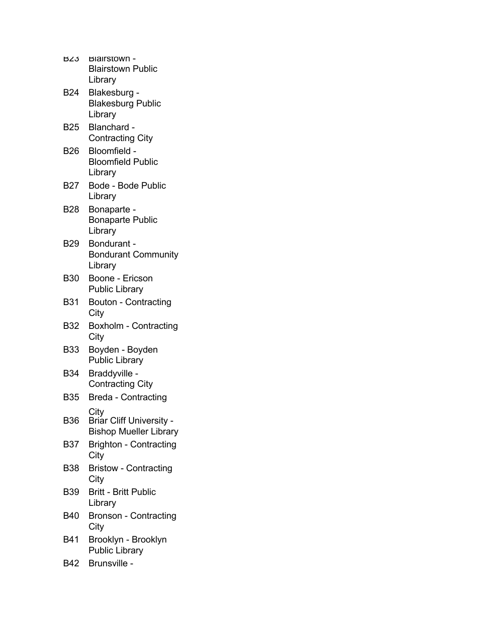| BZJ        | <b>Biairstown -</b><br><b>Blairstown Public</b><br>Library        |
|------------|-------------------------------------------------------------------|
| <b>B24</b> | Blakesburg -<br><b>Blakesburg Public</b><br>Library               |
| <b>B25</b> | Blanchard -<br><b>Contracting City</b>                            |
| <b>B26</b> | Bloomfield -<br><b>Bloomfield Public</b><br>Library               |
| B27        | <b>Bode - Bode Public</b><br>Library                              |
| B28        | Bonaparte -<br><b>Bonaparte Public</b><br>Library                 |
| <b>B29</b> | Bondurant -<br><b>Bondurant Community</b><br>Library              |
| <b>B30</b> | Boone - Ericson<br><b>Public Library</b>                          |
| <b>B31</b> | <b>Bouton - Contracting</b><br>City                               |
| <b>B32</b> | <b>Boxholm - Contracting</b><br>City                              |
| <b>B33</b> | Boyden - Boyden<br><b>Public Library</b>                          |
| <b>B34</b> | Braddyville -<br><b>Contracting City</b>                          |
| <b>B35</b> | <b>Breda - Contracting</b>                                        |
| <b>B36</b> | City<br>Briar Cliff University -<br><b>Bishop Mueller Library</b> |
| <b>B37</b> | <b>Brighton - Contracting</b><br>City                             |
| <b>B38</b> | <b>Bristow - Contracting</b><br>City                              |
| <b>B39</b> | <b>Britt - Britt Public</b><br>Library                            |
| <b>B40</b> | Bronson - Contracting<br>City                                     |
| B41        | Brooklyn - Brooklyn<br><b>Public Library</b>                      |
| B42        | Brunsville -                                                      |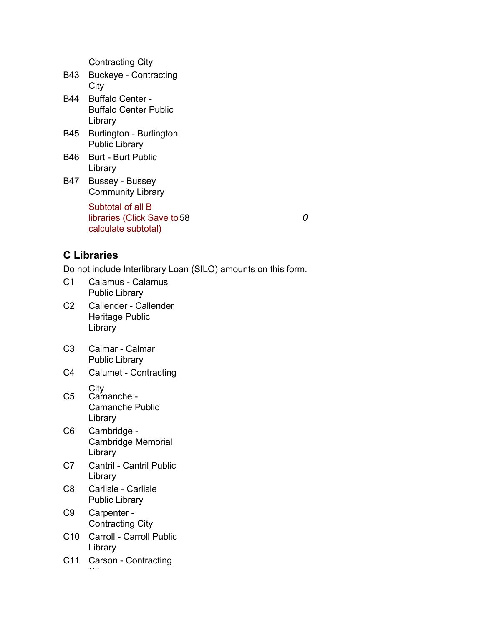Contracting City

- B43 Buckeye Contracting **City**
- B44 Buffalo Center Buffalo Center Public Library
- B45 Burlington Burlington Public Library
- B46 Burt Burt Public Library
- B47 Bussey Bussey Community Library

Subtotal of all B libraries (Click Save to 58 calculate subtotal) 58 *0*

## **C Libraries**

- C1 Calamus Calamus Public Library
- C2 Callender Callender Heritage Public Library
- C3 Calmar Calmar Public Library
- C4 Calumet Contracting
- **City** C5 Camanche - Camanche Public Library
- C6 Cambridge Cambridge Memorial Library
- C7 Cantril Cantril Public Library
- C8 Carlisle Carlisle Public Library
- C9 Carpenter Contracting City
- C10 Carroll Carroll Public Library
- C11 Carson Contracting  $\sim$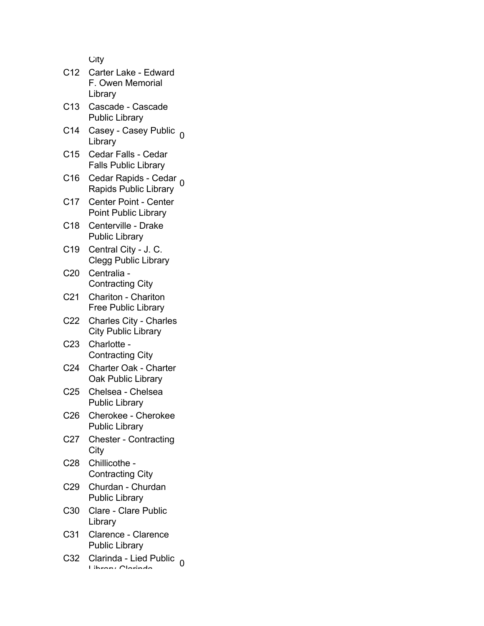|                 | ر ۱، ب                                                      |  |
|-----------------|-------------------------------------------------------------|--|
| C <sub>12</sub> | Carter Lake - Edward                                        |  |
|                 | F. Owen Memorial<br>Library                                 |  |
| C <sub>13</sub> | Cascade - Cascade<br><b>Public Library</b>                  |  |
| C14             | Casey - Casey Public <sub>0</sub><br>Library                |  |
| C <sub>15</sub> | Cedar Falls - Cedar<br><b>Falls Public Library</b>          |  |
| C16             | Cedar Rapids - Cedar<br>Rapids Public Library               |  |
| C <sub>17</sub> | <b>Center Point - Center</b><br><b>Point Public Library</b> |  |
| C18             | Centerville - Drake<br><b>Public Library</b>                |  |
| C <sub>19</sub> | Central City - J. C.<br><b>Clegg Public Library</b>         |  |
| C <sub>20</sub> | Centralia -<br><b>Contracting City</b>                      |  |
| C <sub>21</sub> | <b>Chariton - Chariton</b><br><b>Free Public Library</b>    |  |
| C22             | <b>Charles City - Charles</b><br><b>City Public Library</b> |  |
| C <sub>23</sub> | Charlotte -<br><b>Contracting City</b>                      |  |
| C <sub>24</sub> | <b>Charter Oak - Charter</b><br><b>Oak Public Library</b>   |  |
| C <sub>25</sub> | Chelsea - Chelsea<br><b>Public Library</b>                  |  |
| C <sub>26</sub> | Cherokee - Cherokee<br><b>Public Library</b>                |  |
| C <sub>27</sub> | <b>Chester - Contracting</b><br>City                        |  |
| C <sub>28</sub> | Chillicothe -<br><b>Contracting City</b>                    |  |
| C <sub>29</sub> | Churdan - Churdan<br><b>Public Library</b>                  |  |
| C <sub>30</sub> | Clare - Clare Public<br>Library                             |  |
| C <sub>31</sub> | Clarence - Clarence<br><b>Public Library</b>                |  |
| C <sub>32</sub> | Clarinda - Lied Public                                      |  |

C32 Clarinda - Lied Public 0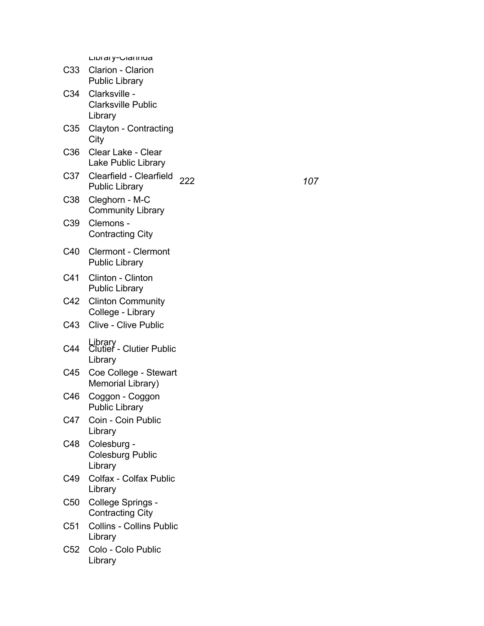|                 | Livialy-Uldilliud                                     |     |     |
|-----------------|-------------------------------------------------------|-----|-----|
| C33 -           | Clarion - Clarion<br><b>Public Library</b>            |     |     |
| C34             | Clarksville -<br><b>Clarksville Public</b><br>Library |     |     |
| C35             | Clayton - Contracting<br>City                         |     |     |
| C <sub>36</sub> | Clear Lake - Clear<br>Lake Public Library             |     |     |
| C37             | Clearfield - Clearfield<br><b>Public Library</b>      | 222 | 107 |
| C38             | Cleghorn - M-C<br><b>Community Library</b>            |     |     |
| C39             | Clemons -<br><b>Contracting City</b>                  |     |     |
| C40             | <b>Clermont - Clermont</b><br><b>Public Library</b>   |     |     |
| C41             | Clinton - Clinton<br><b>Public Library</b>            |     |     |
| C42             | <b>Clinton Community</b><br>College - Library         |     |     |
|                 | C43 Clive - Clive Public                              |     |     |
| C44             | Library<br>Clutier - Clutier Public<br>Library        |     |     |
| C45             | Coe College - Stewart<br>Memorial Library)            |     |     |
| C46             | Coggon - Coggon<br><b>Public Library</b>              |     |     |
| C47             | Coin - Coin Public<br>Library                         |     |     |
| C48             | Colesburg -<br><b>Colesburg Public</b><br>Library     |     |     |
| C49             | <b>Colfax - Colfax Public</b><br>Library              |     |     |
| C <sub>50</sub> | College Springs -<br><b>Contracting City</b>          |     |     |
| C <sub>51</sub> | <b>Collins - Collins Public</b><br>Library            |     |     |
| C52             | Colo - Colo Public<br>Library                         |     |     |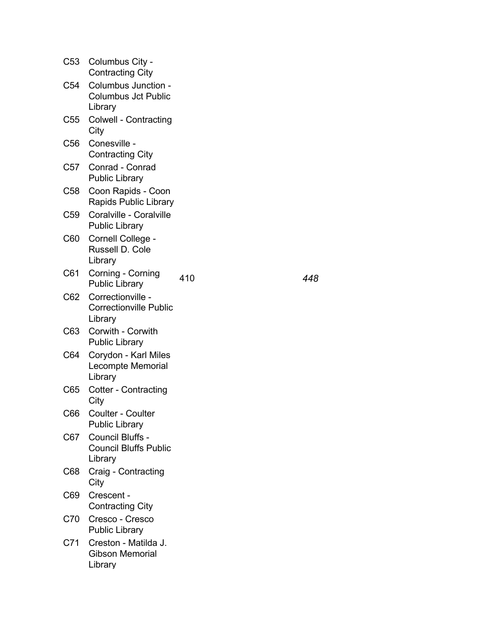|       | C53 Columbus City -<br><b>Contracting City</b>                |     |     |
|-------|---------------------------------------------------------------|-----|-----|
| C54   | Columbus Junction -<br><b>Columbus Jct Public</b><br>Library  |     |     |
| C55   | <b>Colwell - Contracting</b><br>City                          |     |     |
| C56   | Conesville -<br><b>Contracting City</b>                       |     |     |
| C57   | Conrad - Conrad<br><b>Public Library</b>                      |     |     |
| C58   | Coon Rapids - Coon<br><b>Rapids Public Library</b>            |     |     |
| C59   | Coralville - Coralville<br><b>Public Library</b>              |     |     |
| C60   | Cornell College -<br>Russell D. Cole<br>Library               |     |     |
| C61   | Corning - Corning<br><b>Public Library</b>                    | 410 | 448 |
| C62   | Correctionville -<br><b>Correctionville Public</b><br>Library |     |     |
| C63 - | Corwith - Corwith<br><b>Public Library</b>                    |     |     |
| C64   | Corydon - Karl Miles<br>Lecompte Memorial<br>Library          |     |     |
| C65   | <b>Cotter - Contracting</b><br>City                           |     |     |
| C66   | <b>Coulter - Coulter</b><br><b>Public Library</b>             |     |     |
| C67   | Council Bluffs -<br><b>Council Bluffs Public</b><br>Library   |     |     |
| C68   | Craig - Contracting<br>City                                   |     |     |
| C69   | Crescent -<br><b>Contracting City</b>                         |     |     |
| C70   | Cresco - Cresco<br><b>Public Library</b>                      |     |     |
| C71   | Creston - Matilda J.<br><b>Gibson Memorial</b><br>Library     |     |     |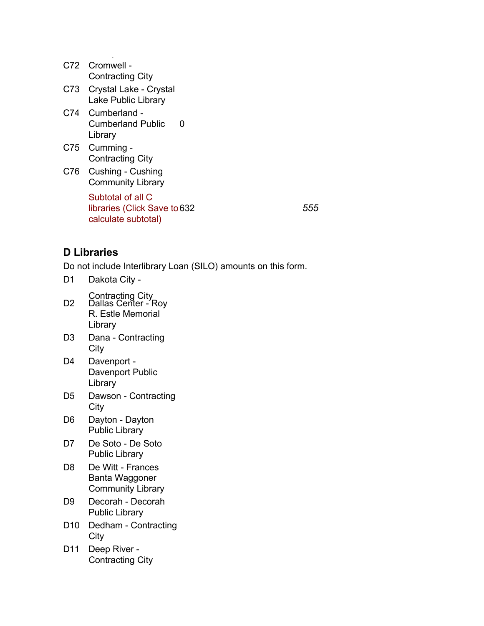| C72   | Cromwell -<br><b>Contracting City</b>                                    |
|-------|--------------------------------------------------------------------------|
| C73 - | Crystal Lake - Crystal<br>Lake Public Library                            |
|       | C74 Cumberland -<br>Cumberland Public<br>O<br>Library                    |
| C75   | Cumming -<br><b>Contracting City</b>                                     |
| C76 - | Cushing - Cushing<br><b>Community Library</b>                            |
|       | Subtotal of all C<br>libraries (Click Save to 632<br>calculate subtotal) |

632 *555*

#### **D Libraries**

Do not include Interlibrary Loan (SILO) amounts on this form.

D1 Dakota City -

 $\mathbb{L}$ 

- Contracting City D2 Dallas Center - Roy R. Estle Memorial Library
- D3 Dana Contracting **City**
- D4 Davenport Davenport Public Library
- D5 Dawson Contracting **City**
- D6 Dayton Dayton Public Library
- D7 De Soto De Soto Public Library
- D8 De Witt Frances Banta Waggoner Community Library
- D9 Decorah Decorah Public Library
- D10 Dedham Contracting **City**
- D11 Deep River Contracting City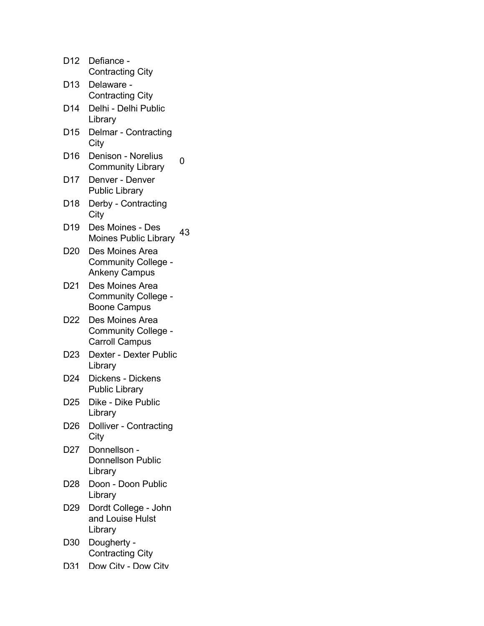| D12             | Defiance -<br><b>Contracting City</b>                                                         |    |
|-----------------|-----------------------------------------------------------------------------------------------|----|
| D <sub>13</sub> | Delaware -<br><b>Contracting City</b>                                                         |    |
| D <sub>14</sub> | Delhi - Delhi Public                                                                          |    |
| D <sub>15</sub> | Library<br>Delmar - Contracting                                                               |    |
| D <sub>16</sub> | City<br>Denison - Norelius                                                                    | 0  |
| D17             | <b>Community Library</b><br>Denver - Denver                                                   |    |
| D <sub>18</sub> | <b>Public Library</b><br>Derby - Contracting                                                  |    |
| D <sub>19</sub> | City<br>Des Moines - Des                                                                      | 43 |
| D <sub>20</sub> | <b>Moines Public Library</b><br>Des Moines Area                                               |    |
|                 | Community College -<br><b>Ankeny Campus</b>                                                   |    |
| D <sub>21</sub> | Des Moines Area<br><b>Community College</b>                                                   |    |
| D22             | <b>Boone Campus</b><br>Des Moines Area<br><b>Community College -</b><br><b>Carroll Campus</b> |    |
| D <sub>23</sub> | <b>Dexter - Dexter Public</b><br>Library                                                      |    |
| D <sub>24</sub> | Dickens - Dickens<br><b>Public Library</b>                                                    |    |
| D <sub>25</sub> | Dike - Dike Public<br>Library                                                                 |    |
| D26             | <b>Dolliver - Contracting</b><br>City                                                         |    |
| D <sub>27</sub> | Donnellson -<br><b>Donnellson Public</b><br>Library                                           |    |
| D28             | Doon - Doon Public<br>Library                                                                 |    |
| D <sub>29</sub> | Dordt College - John<br>and Louise Hulst<br>Library                                           |    |
| D30             | Dougherty -<br><b>Contracting City</b>                                                        |    |
| D31             | Dow Citv - Dow Citv                                                                           |    |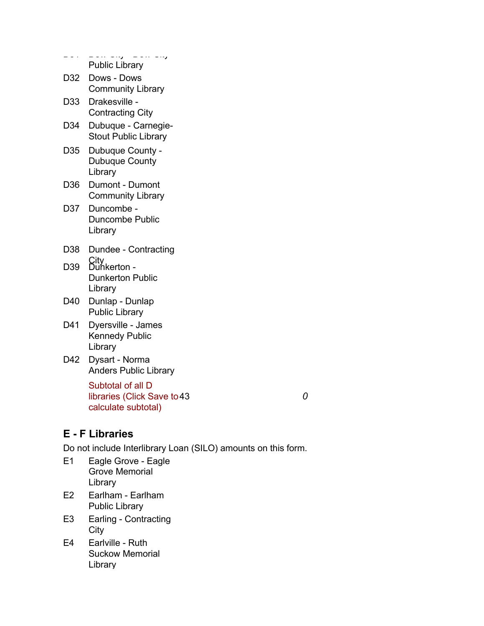da 2011 Dow City - Dow City Public Library D32 Dows - Dows Community Library D33 Drakesville - Contracting City D34 Dubuque - Carnegie-Stout Public Library

- D35 Dubuque County Dubuque County Library
- D36 Dumont Dumont Community Library
- D37 Duncombe Duncombe Public Library
- D38 Dundee Contracting
- City D39 Dunkerton Dunkerton Public Library
- D40 Dunlap Dunlap Public Library
- D41 Dyersville James Kennedy Public Library
- D42 Dysart Norma Anders Public Library

Subtotal of all D libraries (Click Save to 43 calculate subtotal) 43 *0*

## **E - F Libraries**

- E1 Eagle Grove Eagle Grove Memorial Library
- E2 Earlham Earlham Public Library
- E3 Earling Contracting **City**
- E4 Earlville Ruth Suckow Memorial Library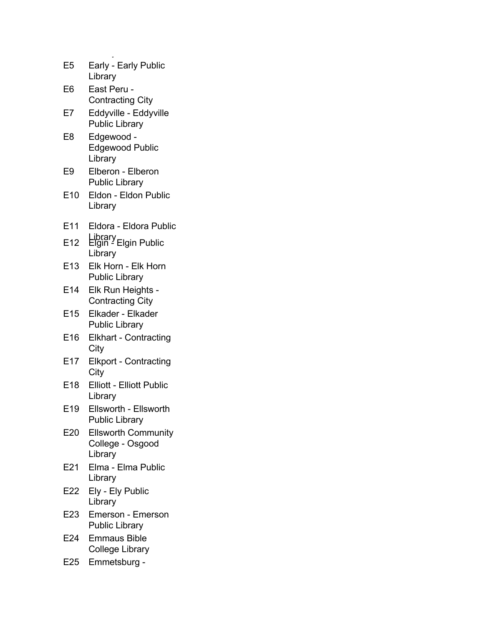| E5              | Early - Early Public<br>Library                           |
|-----------------|-----------------------------------------------------------|
| E6              | East Peru -<br><b>Contracting City</b>                    |
| E7              | Eddyville - Eddyville<br><b>Public Library</b>            |
| E8              | Edgewood -<br><b>Edgewood Public</b><br>Library           |
| E9              | Elberon - Elberon<br><b>Public Library</b>                |
| E10             | Eldon - Eldon Public<br>Library                           |
| E11             | Eldora - Eldora Public                                    |
| E <sub>12</sub> | Library<br>Elgin - Elgin Public<br>Library                |
| E13             | Elk Horn - Elk Horn<br><b>Public Library</b>              |
| E14             | Elk Run Heights -<br><b>Contracting City</b>              |
| E <sub>15</sub> | Elkader - Elkader<br><b>Public Library</b>                |
| E16             | <b>Elkhart - Contracting</b><br>City                      |
| E17             | <b>Elkport - Contracting</b><br>City                      |
| E18             | <b>Elliott - Elliott Public</b><br>Library                |
| E19             | Ellsworth - Ellsworth<br><b>Public Library</b>            |
| E20             | <b>Ellsworth Community</b><br>College - Osgood<br>Library |
| E21             | Elma - Elma Public<br>Library                             |
| E22             | Ely - Ely Public<br>Library                               |
| E23             | <b>Emerson - Emerson</b><br><b>Public Library</b>         |
| E24             | <b>Emmaus Bible</b><br><b>College Library</b>             |
| E25             | Emmetsburg -                                              |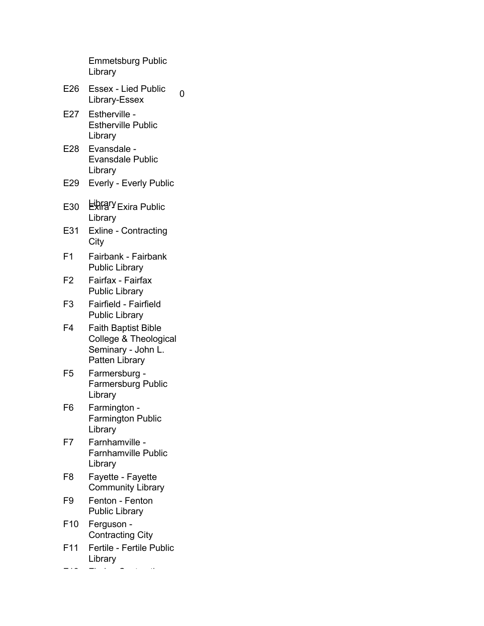Emmetsburg Public Library

- E26 Essex Lied Public Essex - Lieu Public 0<br>Library-Essex
- E27 Estherville Estherville Public Library
- E28 Evansdale Evansdale Public Library
- E29 Everly Everly Public
- E30 ERRIPY Exira Public Library
- E31 Exline Contracting **City**
- F1 Fairbank Fairbank Public Library
- F2 Fairfax Fairfax Public Library
- F3 Fairfield Fairfield Public Library
- F4 Faith Baptist Bible College & Theological Seminary - John L. Patten Library
- F5 Farmersburg Farmersburg Public Library
- F6 Farmington Farmington Public Library
- F7 Farnhamville Farnhamville Public Library
- F8 Fayette Fayette Community Library
- F9 Fenton Fenton Public Library
- F10 Ferguson Contracting City
- F11 Fertile Fertile Public Library

F12 Floris - Contracting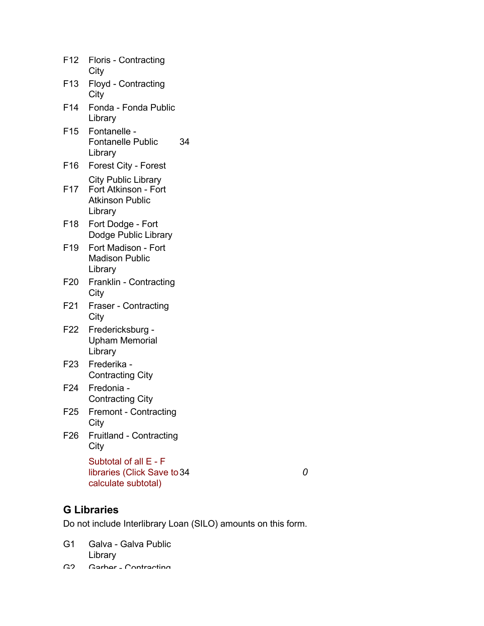| F <sub>12</sub> | <b>Floris - Contracting</b><br>City                                                     |
|-----------------|-----------------------------------------------------------------------------------------|
| F <sub>13</sub> | Floyd - Contracting<br>City                                                             |
| F <sub>14</sub> | Fonda - Fonda Public<br>Library                                                         |
| F <sub>15</sub> | Fontanelle -<br><b>Fontanelle Public</b><br>34<br>Library                               |
| F <sub>16</sub> | <b>Forest City - Forest</b>                                                             |
| F <sub>17</sub> | <b>City Public Library</b><br>Fort Atkinson - Fort<br><b>Atkinson Public</b><br>Library |
| F <sub>18</sub> | Fort Dodge - Fort<br>Dodge Public Library                                               |
| F <sub>19</sub> | Fort Madison - Fort<br><b>Madison Public</b><br>Library                                 |
| F <sub>20</sub> | Franklin - Contracting<br>City                                                          |
| F <sub>21</sub> | <b>Fraser - Contracting</b><br>City                                                     |
| F <sub>22</sub> | Fredericksburg -<br><b>Upham Memorial</b><br>Library                                    |
| F <sub>23</sub> | Frederika -<br><b>Contracting City</b>                                                  |
| F <sub>24</sub> | Fredonia -<br><b>Contracting City</b>                                                   |
| F <sub>25</sub> | <b>Fremont - Contracting</b><br>City                                                    |
| F <sub>26</sub> | <b>Fruitland - Contracting</b><br>City                                                  |
|                 | Subtotal of all E - F<br>libraries (Click Save to 34<br>calculate subtotal)             |

34 *0*

## **G Libraries**

- G1 Galva Galva Public Library
- G2 Garber Contracting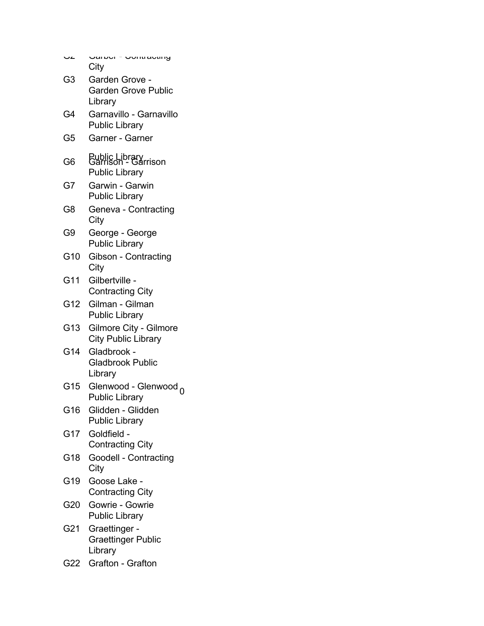| ے د | - Vunuavung<br>יסטו געו<br>City                                |
|-----|----------------------------------------------------------------|
| G3  | Garden Grove -<br><b>Garden Grove Public</b><br>Library        |
| G4  | Garnavillo - Garnavillo<br><b>Public Library</b>               |
| G5  | Garner - Garner                                                |
| G6  | Public Library<br>Garrison - Garrison<br><b>Public Library</b> |
| G7  | Garwin - Garwin<br><b>Public Library</b>                       |
| G8  | Geneva - Contracting<br>City                                   |
| G9  | George - George<br><b>Public Library</b>                       |
| G10 | Gibson - Contracting<br>City                                   |
| G11 | Gilbertville -<br><b>Contracting City</b>                      |
| G12 | Gilman - Gilman<br><b>Public Library</b>                       |
| G13 | Gilmore City - Gilmore<br><b>City Public Library</b>           |
| G14 | Gladbrook -<br><b>Gladbrook Public</b><br>Library              |
| G15 | Glenwood - Glenwood <sub>0</sub><br><b>Public Library</b>      |
| G16 | Glidden - Glidden<br><b>Public Library</b>                     |
| G17 | Goldfield -<br><b>Contracting City</b>                         |
| G18 | Goodell - Contracting<br>City                                  |
| G19 | Goose Lake -<br><b>Contracting City</b>                        |
| G20 | Gowrie - Gowrie<br><b>Public Library</b>                       |
| G21 | Graettinger -<br><b>Graettinger Public</b><br>Library          |
| G22 | Grafton - Grafton                                              |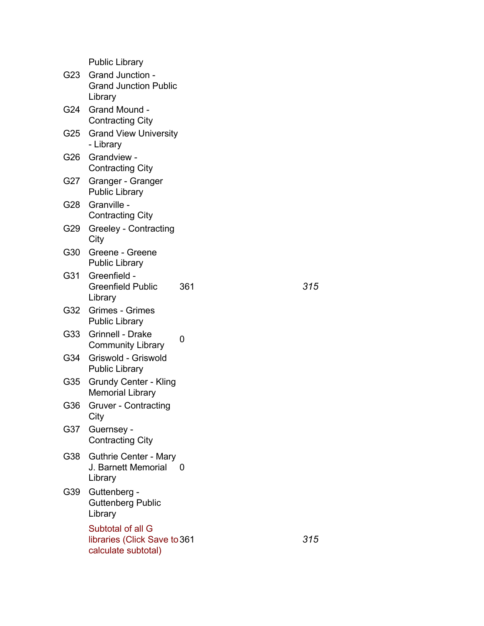|     | <b>Public Library</b>                                                    |     |     |
|-----|--------------------------------------------------------------------------|-----|-----|
| G23 | <b>Grand Junction -</b><br><b>Grand Junction Public</b><br>Library       |     |     |
| G24 | Grand Mound -<br><b>Contracting City</b>                                 |     |     |
| G25 | <b>Grand View University</b><br>- Library                                |     |     |
| G26 | Grandview -<br><b>Contracting City</b>                                   |     |     |
| G27 | Granger - Granger<br><b>Public Library</b>                               |     |     |
| G28 | Granville -<br><b>Contracting City</b>                                   |     |     |
| G29 | Greeley - Contracting<br>City                                            |     |     |
| G30 | Greene - Greene<br><b>Public Library</b>                                 |     |     |
| G31 | Greenfield -<br>Greenfield Public<br>Library                             | 361 | 315 |
| G32 | <b>Grimes - Grimes</b><br><b>Public Library</b>                          |     |     |
| G33 | <b>Grinnell - Drake</b><br><b>Community Library</b>                      | 0   |     |
| G34 | Griswold - Griswold<br><b>Public Library</b>                             |     |     |
| G35 | <b>Grundy Center - Kling</b><br><b>Memorial Library</b>                  |     |     |
| G36 | <b>Gruver - Contracting</b><br>City                                      |     |     |
| G37 | Guernsey -<br><b>Contracting City</b>                                    |     |     |
| G38 | <b>Guthrie Center - Mary</b><br>J. Barnett Memorial<br>Library           | 0   |     |
| G39 | Guttenberg -<br><b>Guttenberg Public</b><br>Library                      |     |     |
|     | Subtotal of all G<br>libraries (Click Save to 361<br>calculate subtotal) |     | 315 |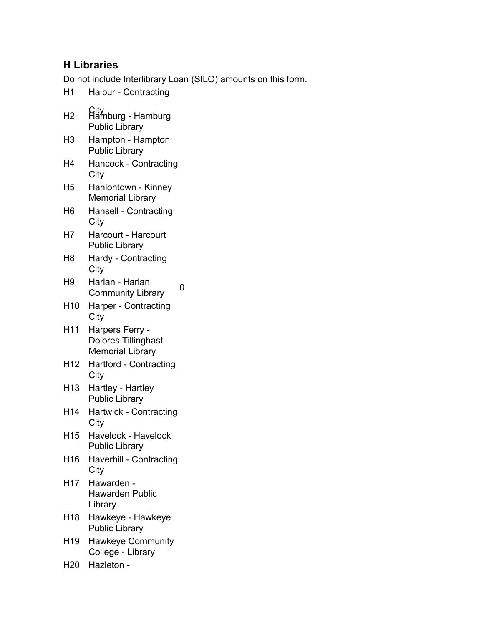## **H Libraries**

- H1 Halbur Contracting
- City H2 Hamburg Hamburg Public Library
- H3 Hampton Hampton Public Library
- H4 Hancock Contracting **City**
- H5 Hanlontown Kinney Memorial Library
- H6 Hansell Contracting **City**
- H7 Harcourt Harcourt Public Library
- H8 Hardy Contracting City
- H9 Harlan Harlan nanan - nanan<br>Community Library 0
- H10 Harper Contracting City
- H11 Harpers Ferry Dolores Tillinghast Memorial Library
- H12 Hartford Contracting **City**
- H13 Hartley Hartley Public Library
- H14 Hartwick Contracting **City**
- H15 Havelock Havelock Public Library
- H16 Haverhill Contracting **City**
- H17 Hawarden Hawarden Public Library
- H18 Hawkeye Hawkeye Public Library
- H19 Hawkeye Community College - Library
- H20 Hazleton -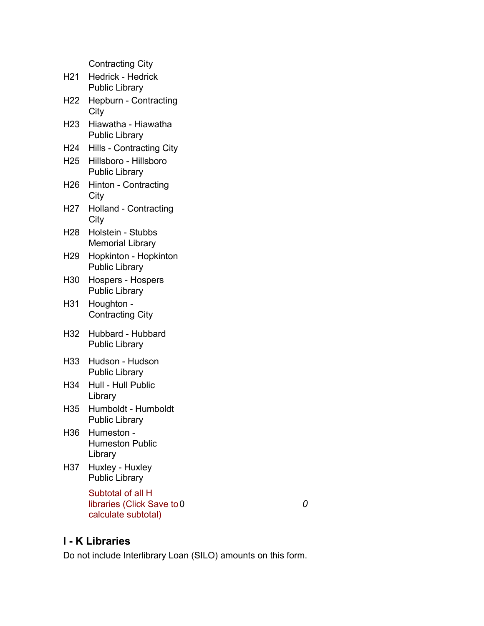Contracting City

|       | <b>OUTHOUTHY</b>                                   |  |
|-------|----------------------------------------------------|--|
|       | H21 Hedrick - Hedrick<br><b>Public Library</b>     |  |
|       | H22 Hepburn - Contracting<br>City                  |  |
|       | H23 Hiawatha - Hiawatha<br><b>Public Library</b>   |  |
|       | H24 Hills - Contracting City                       |  |
|       | H25 Hillsboro - Hillsboro<br><b>Public Library</b> |  |
|       | H26 Hinton - Contracting<br>City                   |  |
| H27   | Holland - Contracting<br>City                      |  |
|       | H28 Holstein - Stubbs<br><b>Memorial Library</b>   |  |
| H29 I | Hopkinton - Hopkinton<br><b>Public Library</b>     |  |
| H30 - | Hospers - Hospers<br><b>Public Library</b>         |  |
| H31 - | Houghton -<br><b>Contracting City</b>              |  |
|       | H32 Hubbard - Hubbard<br><b>Public Library</b>     |  |
|       | H33 Hudson - Hudson<br><b>Public Library</b>       |  |
|       | H34 Hull - Hull Public<br>Library                  |  |
| H35   | Humboldt - Humboldt<br>Public Library              |  |
| H36   | Humeston -<br><b>Humeston Public</b><br>Library    |  |
| H37   | Huxley - Huxley<br><b>Public Library</b>           |  |
|       | Subtotal of all H<br>libraries (Click Save to 0    |  |

## **I - K Libraries**

calculate subtotal)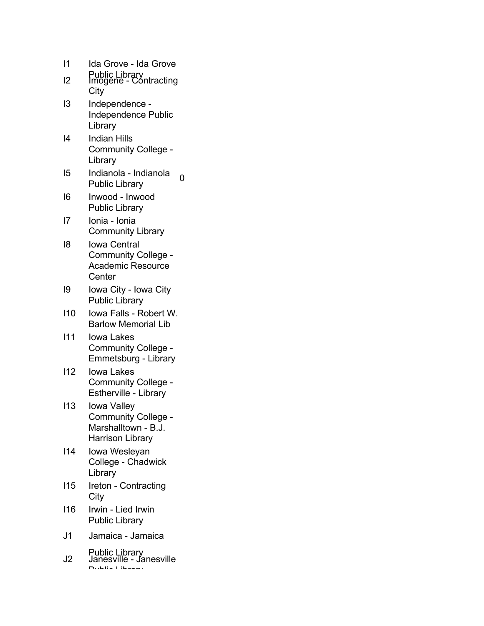| 11             | Ida Grove - Ida Grove                                                                |
|----------------|--------------------------------------------------------------------------------------|
| 12             | Public Library<br>Imogene - Contracting<br>City                                      |
| IЗ             | Independence -<br><b>Independence Public</b><br>Library                              |
| 14             | <b>Indian Hills</b><br><b>Community College</b><br>Library                           |
| 15             | Indianola - Indianola<br>ი<br><b>Public Library</b>                                  |
| 16             | Inwood - Inwood<br><b>Public Library</b>                                             |
| 17             | Ionia - Ionia<br><b>Community Library</b>                                            |
| 18             | Iowa Central<br><b>Community College -</b><br><b>Academic Resource</b><br>Center     |
| 19             | Iowa City - Iowa City<br><b>Public Library</b>                                       |
| 110            | lowa Falls - Robert W.<br><b>Barlow Memorial Lib</b>                                 |
| 111            | Iowa Lakes<br>Community College -<br>Emmetsburg - Library                            |
| 112            | <b>lowa Lakes</b><br><b>Community College</b><br>Estherville - Library               |
| 113            | Iowa Valley<br>Community College -<br>Marshalltown - B.J.<br><b>Harrison Library</b> |
| 114            | Iowa Wesleyan<br>College - Chadwick<br>Library                                       |
| 115            | Ireton - Contracting<br>City                                                         |
| 116            | Irwin - Lied Irwin<br><b>Public Library</b>                                          |
| J <sub>1</sub> | Jamaica - Jamaica                                                                    |
| J2             | Public Library<br>Janesville - Janesville                                            |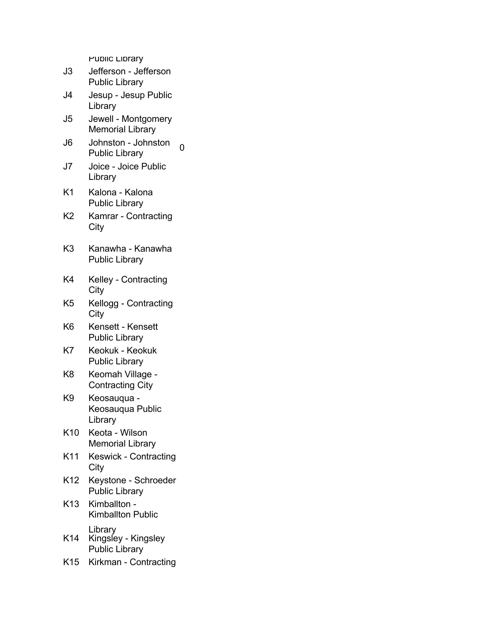- J3 Jefferson Jefferson Public Library
- J4 Jesup Jesup Public Library
- J5 Jewell Montgomery Memorial Library
- J6 Johnston Johnston Jonnston - Jonnston<br>Public Library
- J7 Joice Joice Public Library
- K1 Kalona Kalona Public Library
- K2 Kamrar Contracting **City**
- K3 Kanawha Kanawha Public Library
- K4 Kelley Contracting City
- K5 Kellogg Contracting **City**
- K6 Kensett Kensett Public Library
- K7 Keokuk Keokuk Public Library
- K8 Keomah Village Contracting City
- K9 Keosauqua Keosauqua Public Library
- K10 Keota Wilson Memorial Library
- K11 Keswick Contracting **City**
- K12 Keystone Schroeder Public Library
- K13 Kimballton Kimballton Public Library
- K14 Kingsley Kingsley Public Library
- K15 Kirkman Contracting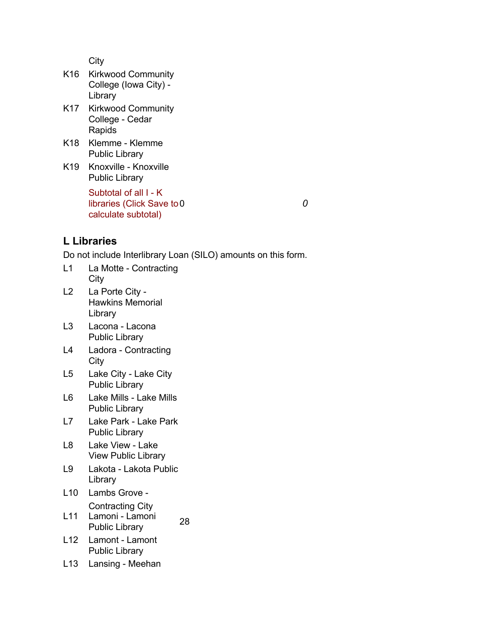- K16 Kirkwood Community College (Iowa City) - Library
- K17 Kirkwood Community College - Cedar Rapids
- K18 Klemme Klemme Public Library
- K19 Knoxville Knoxville Public Library

Subtotal of all I - K libraries (Click Save to calculate subtotal)

0 *0*

## **L Libraries**

- L1 La Motte Contracting **City**
- L2 La Porte City Hawkins Memorial Library
- L3 Lacona Lacona Public Library
- L4 Ladora Contracting **City**
- L5 Lake City Lake City Public Library
- L6 Lake Mills Lake Mills Public Library
- L7 Lake Park Lake Park Public Library
- L8 Lake View Lake View Public Library
- L9 Lakota Lakota Public Library
- L10 Lambs Grove Contracting City
- L11 Lamoni Lamoni Lamon - Lamon 28<br>Public Library 28
- L12 Lamont Lamont Public Library
- L13 Lansing Meehan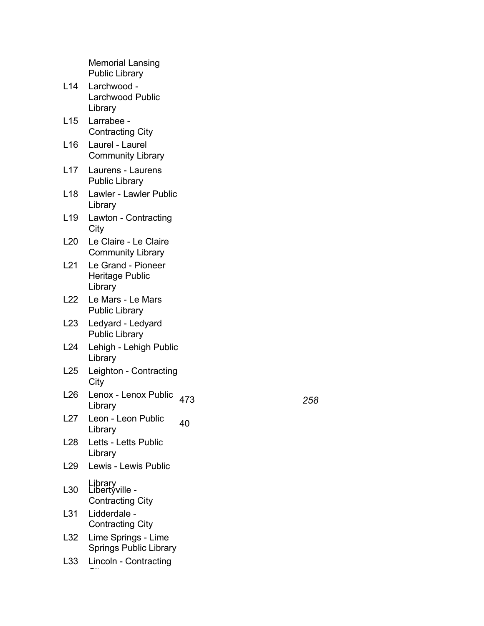|                 | <b>Memorial Lansing</b><br><b>Public Library</b>     |     |     |
|-----------------|------------------------------------------------------|-----|-----|
| L14             | Larchwood -<br><b>Larchwood Public</b><br>Library    |     |     |
| L15             | Larrabee -<br><b>Contracting City</b>                |     |     |
| L16             | Laurel - Laurel<br><b>Community Library</b>          |     |     |
| L17             | Laurens - Laurens<br><b>Public Library</b>           |     |     |
| L18             | Lawler - Lawler Public<br>Library                    |     |     |
| L19             | Lawton - Contracting<br>City                         |     |     |
| L20             | Le Claire - Le Claire<br><b>Community Library</b>    |     |     |
| L21             | Le Grand - Pioneer<br>Heritage Public<br>Library     |     |     |
| L22             | Le Mars - Le Mars<br><b>Public Library</b>           |     |     |
| L23             | Ledyard - Ledyard<br><b>Public Library</b>           |     |     |
| L24             | Lehigh - Lehigh Public<br>Library                    |     |     |
| L25             | Leighton - Contracting<br>City                       |     |     |
| L <sub>26</sub> | Lenox - Lenox Public<br>Library                      | 473 | 258 |
| L27             | Leon - Leon Public<br>Library                        | 40  |     |
| L <sub>28</sub> | Letts - Letts Public<br>Library                      |     |     |
| L <sub>29</sub> | Lewis - Lewis Public                                 |     |     |
| L30             | Library<br>Libertyville -<br><b>Contracting City</b> |     |     |
| L31             | Lidderdale -<br><b>Contracting City</b>              |     |     |
| L32             | Lime Springs - Lime<br><b>Springs Public Library</b> |     |     |
| L33             | Lincoln - Contracting                                |     |     |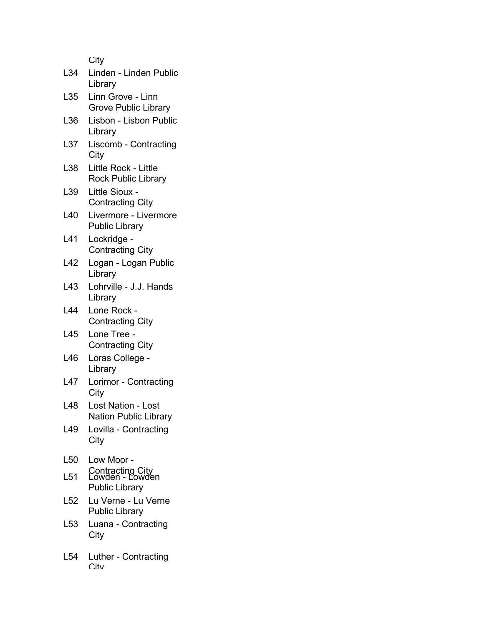| L34             | Linden - Linden Public<br>Library                            |
|-----------------|--------------------------------------------------------------|
| L35             | Linn Grove - Linn<br><b>Grove Public Library</b>             |
| L36             | Lisbon - Lisbon Public<br>Library                            |
| L37             | Liscomb - Contracting<br>City                                |
| L38             | Little Rock - Little<br><b>Rock Public Library</b>           |
| L39             | Little Sioux -<br><b>Contracting City</b>                    |
| L40             | Livermore - Livermore<br><b>Public Library</b>               |
| L41             | Lockridge -<br><b>Contracting City</b>                       |
| L42             | Logan - Logan Public<br>Library                              |
| L43             | Lohrville - J.J. Hands<br>Library                            |
| L44             | Lone Rock -<br><b>Contracting City</b>                       |
| L45             | Lone Tree -<br><b>Contracting City</b>                       |
| L46             | Loras College -<br>Library                                   |
| L47             | Lorimor - Contracting<br>City                                |
| L48             | Lost Nation - Lost<br><b>Nation Public Library</b>           |
| L49             | Lovilla - Contracting<br>City                                |
| L <sub>50</sub> | Low Moor -                                                   |
| L51             | Contracting City<br>Lowden - Lowden<br><b>Public Library</b> |
| L52             | Lu Verne - Lu Verne<br><b>Public Library</b>                 |
| L53             | Luana - Contracting<br>City                                  |
| L54             | Luther - Contracting<br>∩itv                                 |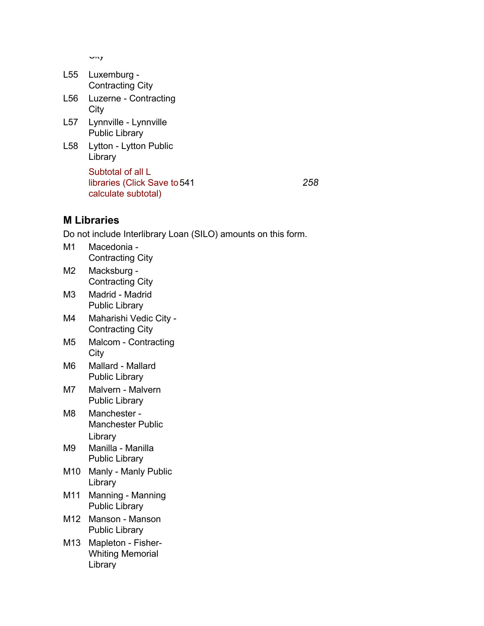$\cup$ ity

| L55 Luxemburg -         |
|-------------------------|
| <b>Contracting City</b> |

- L56 Luzerne Contracting **City**
- L57 Lynnville Lynnville Public Library
- L58 Lytton Lytton Public Library Subtotal of all L libraries (Click Save to 541

calculate subtotal)

541 *258*

## **M Libraries**

- M1 Macedonia Contracting City M2 Macksburg -
- Contracting City M3 Madrid - Madrid
- Public Library
- M4 Maharishi Vedic City Contracting City
- M5 Malcom Contracting City
- M6 Mallard Mallard Public Library
- M7 Malvern Malvern Public Library
- M8 Manchester Manchester Public Library
- M9 Manilla Manilla Public Library
- M10 Manly Manly Public Library
- M11 Manning Manning Public Library
- M12 Manson Manson Public Library
- M13 Mapleton Fisher-Whiting Memorial Library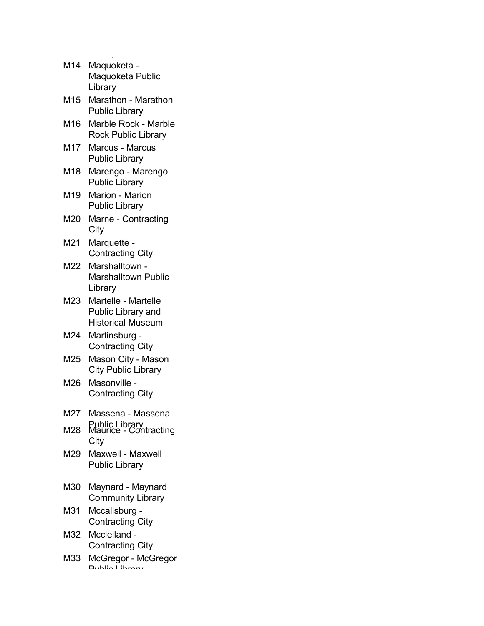| M14 | Maquoketa -<br>Maquoketa Public<br>Library                     |
|-----|----------------------------------------------------------------|
| M15 | Marathon - Marathon<br><b>Public Library</b>                   |
| M16 | Marble Rock - Marble<br><b>Rock Public Library</b>             |
| M17 | <b>Marcus - Marcus</b><br><b>Public Library</b>                |
| M18 | Marengo - Marengo<br><b>Public Library</b>                     |
| M19 | Marion - Marion<br><b>Public Library</b>                       |
| M20 | Marne - Contracting<br>City                                    |
| M21 | Marquette -<br><b>Contracting City</b>                         |
| M22 | Marshalltown -<br><b>Marshalltown Public</b><br>Library        |
| M23 | Martelle - Martelle<br>Public Library and<br>Historical Museum |
| M24 | Martinsburg -<br><b>Contracting City</b>                       |
| M25 | Mason City - Mason<br><b>City Public Library</b>               |
| M26 | Masonville<br><b>Contracting City</b>                          |
| M27 | Massena - Massena                                              |
| M28 | Public Library<br>Maurice - Contracting<br>City                |
| M29 | Maxwell - Maxwell<br><b>Public Library</b>                     |
| M30 | Maynard - Maynard<br><b>Community Library</b>                  |
| M31 | Mccallsburg<br><b>Contracting City</b>                         |
| M32 | Mcclelland -<br><b>Contracting City</b>                        |
| M33 | McGregor - McGregor<br>Dublin Lik                              |

 $\mathbb{L}$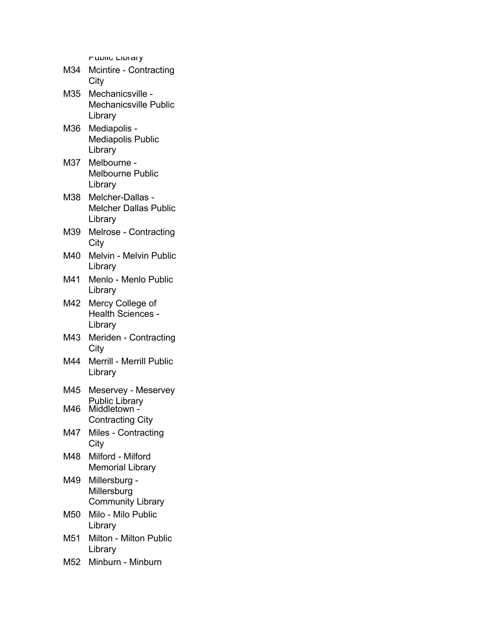- M34 Mcintire Contracting City
- M35 Mechanicsville Mechanicsville Public Library
- M36 Mediapolis Mediapolis Public Library
- M37 Melbourne Melbourne Public Library
- M38 Melcher-Dallas Melcher Dallas Public Library
- M39 Melrose Contracting **City**
- M40 Melvin Melvin Public Library
- M41 Menlo Menlo Public Library
- M42 Mercy College of Health Sciences - Library
- M43 Meriden Contracting **City**
- M44 Merrill Merrill Public Library
- M45 Meservey Meservey Public Library
- M46 Middletown -Contracting City
- M47 Miles Contracting **City**
- M48 Milford Milford Memorial Library
- M49 Millersburg Millersburg Community Library
- M50 Milo Milo Public Library
- M51 Milton Milton Public Library
- M52 Minburn Minburn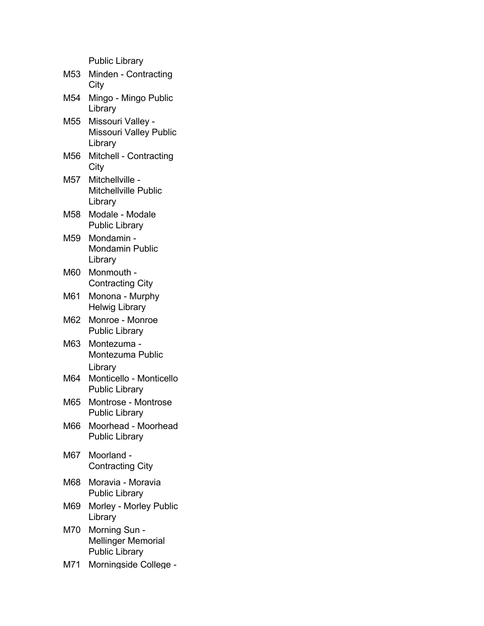| M53 | Minden - Contracting<br>City                           |
|-----|--------------------------------------------------------|
| M54 | Mingo - Mingo Public<br>Library                        |
| M55 | Missouri Valley -<br>Missouri Valley Public<br>Library |
| M56 | Mitchell - Contracting<br>City                         |
| M57 | Mitchellville -<br>Mitchellville Public<br>Library     |

- M58 Modale Modale Public Library
- M59 Mondamin Mondamin Public Library
- M60 Monmouth Contracting City
- M61 Monona Murphy Helwig Library
- M62 Monroe Monroe Public Library
- M63 Montezuma Montezuma Public Library
- M64 Monticello Monticello Public Library
- M65 Montrose Montrose Public Library
- M66 Moorhead Moorhead Public Library
- M67 Moorland Contracting City
- M68 Moravia Moravia Public Library
- M69 Morley Morley Public Library
- M70 Morning Sun Mellinger Memorial Public Library
- M71 Morningside College -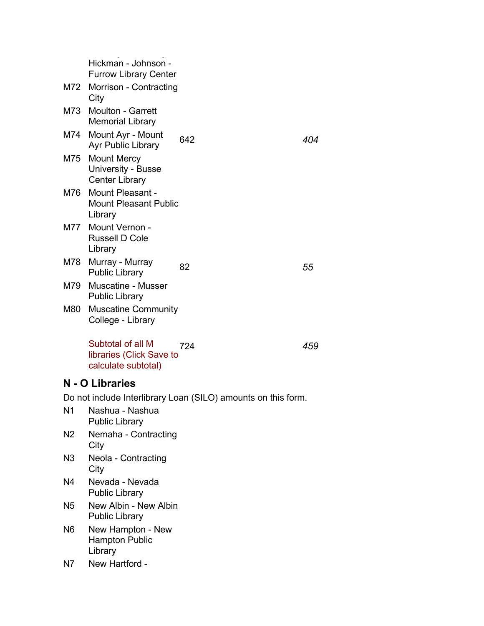|     | Hickman - Johnson -                                                      |     |     |
|-----|--------------------------------------------------------------------------|-----|-----|
|     | <b>Furrow Library Center</b>                                             |     |     |
|     | M72 Morrison - Contracting<br>City                                       |     |     |
|     | M73 Moulton - Garrett<br><b>Memorial Library</b>                         |     |     |
| M74 | Mount Ayr - Mount<br>Ayr Public Library                                  | 642 | 404 |
| M75 | <b>Mount Mercy</b><br><b>University - Busse</b><br><b>Center Library</b> |     |     |
| M76 | Mount Pleasant -<br><b>Mount Pleasant Public</b><br>Library              |     |     |
|     | M77 Mount Vernon -<br><b>Russell D Cole</b><br>Library                   |     |     |
|     | M78 Murray - Murray<br><b>Public Library</b>                             | 82  | 55  |
| M79 | <b>Muscatine - Musser</b><br><b>Public Library</b>                       |     |     |
| M80 | <b>Muscatine Community</b><br>College - Library                          |     |     |
|     | Subtotal of all M<br>libraries (Click Save to<br>calculate subtotal)     | 724 | 459 |

#### **N - O Libraries**

- N1 Nashua Nashua Public Library
- N2 Nemaha Contracting **City**
- N3 Neola Contracting **City**
- N4 Nevada Nevada Public Library
- N5 New Albin New Albin Public Library
- N6 New Hampton New Hampton Public Library
- N7 New Hartford -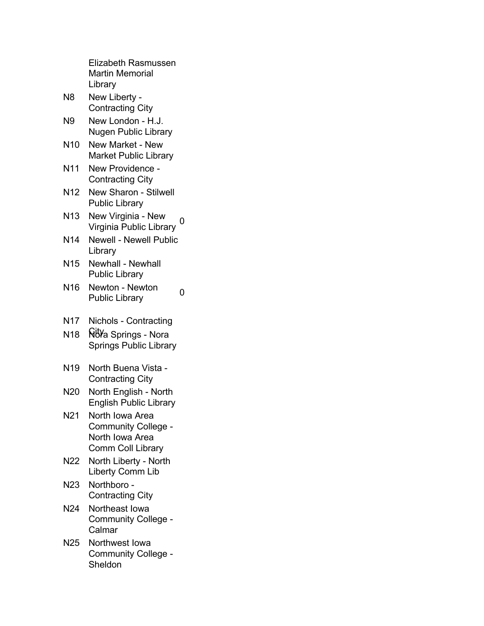|                 | <b>Elizabeth Rasmussen</b><br><b>Martin Memorial</b><br>Library                       |
|-----------------|---------------------------------------------------------------------------------------|
| N8              | New Liberty -<br><b>Contracting City</b>                                              |
| N9              | New London - H.J.<br><b>Nugen Public Library</b>                                      |
| N <sub>10</sub> | New Market - New<br><b>Market Public Library</b>                                      |
| <b>N11</b>      | New Providence -<br><b>Contracting City</b>                                           |
| N <sub>12</sub> | <b>New Sharon - Stilwell</b><br><b>Public Library</b>                                 |
| N <sub>13</sub> | New Virginia - New<br>0<br>Virginia Public Library                                    |
| N <sub>14</sub> | <b>Newell - Newell Public</b><br>Library                                              |
| N <sub>15</sub> | <b>Newhall - Newhall</b><br><b>Public Library</b>                                     |
| N <sub>16</sub> | Newton - Newton<br>ი<br><b>Public Library</b>                                         |
| N <sub>17</sub> | Nichols - Contracting                                                                 |
| N <sub>18</sub> | <b>Ñ<sup>ij</sup>Y</b> a Springs - Nora<br><b>Springs Public Library</b>              |
| N <sub>19</sub> | North Buena Vista -<br><b>Contracting City</b>                                        |
| N20             | North English - North<br><b>English Public Library</b>                                |
| N <sub>21</sub> | North Iowa Area<br>Community College -<br>North Iowa Area<br><b>Comm Coll Library</b> |
| N22             | North Liberty - North<br><b>Liberty Comm Lib</b>                                      |
| N23             | Northboro -<br><b>Contracting City</b>                                                |
| N <sub>24</sub> | Northeast Iowa<br>Community College -<br>Calmar                                       |
| N25             | Northwest Iowa<br>Community College -<br>Sheldon                                      |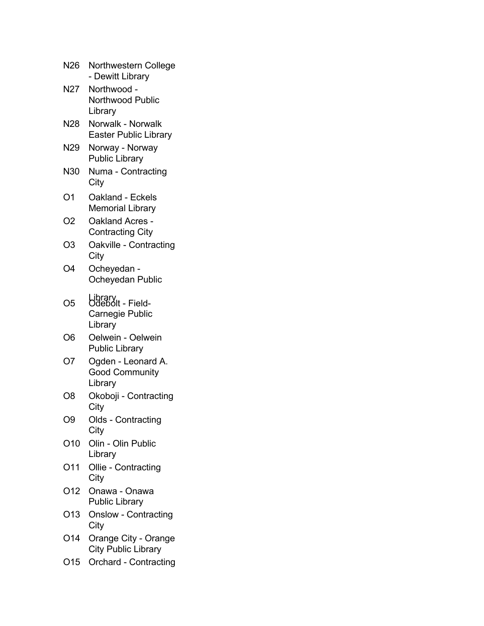| N26             | Northwestern College<br>- Dewitt Library                  |
|-----------------|-----------------------------------------------------------|
| N27             | Northwood -<br>Northwood Public<br>Library                |
| N28             | Norwalk - Norwalk<br><b>Easter Public Library</b>         |
| N29             | Norway - Norway<br><b>Public Library</b>                  |
| N30             | Numa - Contracting<br>City                                |
| O1              | Oakland - Eckels<br><b>Memorial Library</b>               |
| O2              | Oakland Acres -<br><b>Contracting City</b>                |
| O3              | Oakville - Contracting<br>City                            |
| O4              | Ocheyedan -<br>Ocheyedan Public                           |
| O5              | Library<br>Odebolt - Field-<br>Carnegie Public<br>Library |
| O6              | Oelwein - Oelwein<br><b>Public Library</b>                |
| O7              | Ogden - Leonard A.<br><b>Good Community</b><br>Library    |
| O8              | Okoboji - Contracting<br>City                             |
| O9              | Olds - Contracting<br>City                                |
| O10             | Olin - Olin Public<br>Library                             |
| O11             | Ollie - Contracting<br>City                               |
| O <sub>12</sub> | Onawa - Onawa<br><b>Public Library</b>                    |
| O <sub>13</sub> | <b>Onslow - Contracting</b><br>City                       |
| O14             | Orange City - Orange<br><b>City Public Library</b>        |
| O <sub>15</sub> | <b>Orchard - Contracting</b>                              |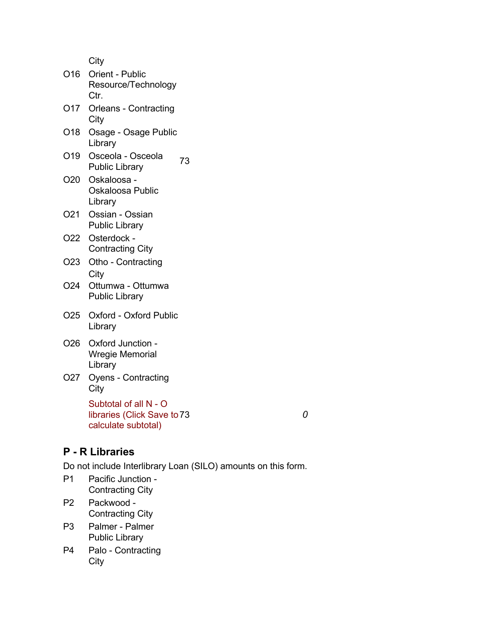- O16 Orient Public Resource/Technology Ctr. O17 Orleans - Contracting **City** O18 Osage - Osage Public Library
- O19 Osceola Osceola Osceola - Osceola 73<br>Public Library 73
- O20 Oskaloosa Oskaloosa Public Library
- O21 Ossian Ossian Public Library
- O22 Osterdock Contracting City
- O23 Otho Contracting **City**
- O24 Ottumwa Ottumwa Public Library
- O25 Oxford Oxford Public Library
- O26 Oxford Junction Wregie Memorial Library
- O27 Oyens Contracting **City**

Subtotal of all N - O libraries (Click Save to 73 calculate subtotal) 73 *0*

## **P - R Libraries**

- P1 Pacific Junction Contracting City
- P2 Packwood Contracting City
- P3 Palmer Palmer Public Library
- P4 Palo Contracting City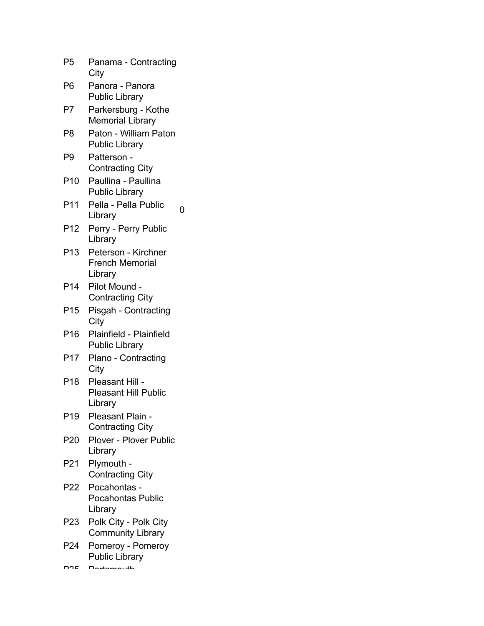| P5              | Panama - Contracting<br>City                              |   |
|-----------------|-----------------------------------------------------------|---|
| P6              | Panora - Panora<br><b>Public Library</b>                  |   |
| P7              | Parkersburg - Kothe<br><b>Memorial Library</b>            |   |
| P8              | Paton - William Paton<br><b>Public Library</b>            |   |
| P9              | Patterson -<br><b>Contracting City</b>                    |   |
| P10             | Paullina - Paullina<br><b>Public Library</b>              |   |
| P11             | Pella - Pella Public<br>Library                           | 0 |
| P12             | Perry - Perry Public<br>Library                           |   |
| P13             | Peterson - Kirchner<br><b>French Memorial</b><br>Library  |   |
| P14             | Pilot Mound -<br><b>Contracting City</b>                  |   |
| P <sub>15</sub> | Pisgah - Contracting<br>City                              |   |
| P16             | Plainfield - Plainfield<br><b>Public Library</b>          |   |
| P17             | Plano - Contracting<br>City                               |   |
| P18             | Pleasant Hill -<br><b>Pleasant Hill Public</b><br>Library |   |
| P19             | Pleasant Plain -<br><b>Contracting City</b>               |   |
| P20             | <b>Plover - Plover Public</b><br>Library                  |   |
| P21             | Plymouth -<br><b>Contracting City</b>                     |   |
| P22             | Pocahontas -<br><b>Pocahontas Public</b><br>Library       |   |
| P23             | Polk City - Polk City<br><b>Community Library</b>         |   |
| P24             | Pomeroy - Pomeroy<br><b>Public Library</b>                |   |

 $D2E$   $D$ ortomouth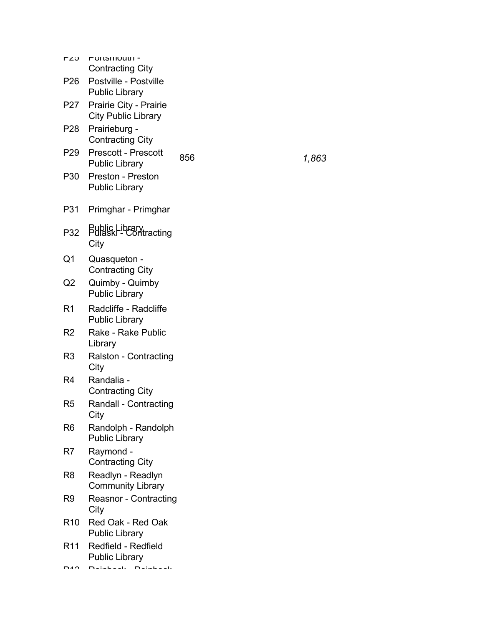| τ∠υ             | <b>PUILSITIOULII-</b><br><b>Contracting City</b>     |     |       |
|-----------------|------------------------------------------------------|-----|-------|
| P26             | Postville - Postville<br><b>Public Library</b>       |     |       |
| P27             | Prairie City - Prairie<br><b>City Public Library</b> |     |       |
| P28             | Prairieburg -<br><b>Contracting City</b>             |     |       |
| P29             | Prescott - Prescott<br><b>Public Library</b>         | 856 | 1,863 |
| P30             | Preston - Preston<br><b>Public Library</b>           |     |       |
| P31             | Primghar - Primghar                                  |     |       |
| P32             | Public Library<br>Pulaski - Contracting<br>City      |     |       |
| Q1              | Quasqueton -<br><b>Contracting City</b>              |     |       |
| Q2              | Quimby - Quimby<br><b>Public Library</b>             |     |       |
| R <sub>1</sub>  | Radcliffe - Radcliffe<br><b>Public Library</b>       |     |       |
| R2              | Rake - Rake Public<br>Library                        |     |       |
| R <sub>3</sub>  | Ralston - Contracting<br>City                        |     |       |
| R4              | Randalia -<br><b>Contracting City</b>                |     |       |
| R5              | Randall - Contracting<br>City                        |     |       |
| R <sub>6</sub>  | Randolph - Randolph<br><b>Public Library</b>         |     |       |
| R7              | Raymond -<br><b>Contracting City</b>                 |     |       |
| R <sub>8</sub>  | Readlyn - Readlyn<br><b>Community Library</b>        |     |       |
| R9              | Reasnor - Contracting<br>City                        |     |       |
| R <sub>10</sub> | Red Oak - Red Oak<br><b>Public Library</b>           |     |       |
| R <sub>11</sub> | Redfield - Redfield<br><b>Public Library</b>         |     |       |
|                 | <b>Databash Databash</b>                             |     |       |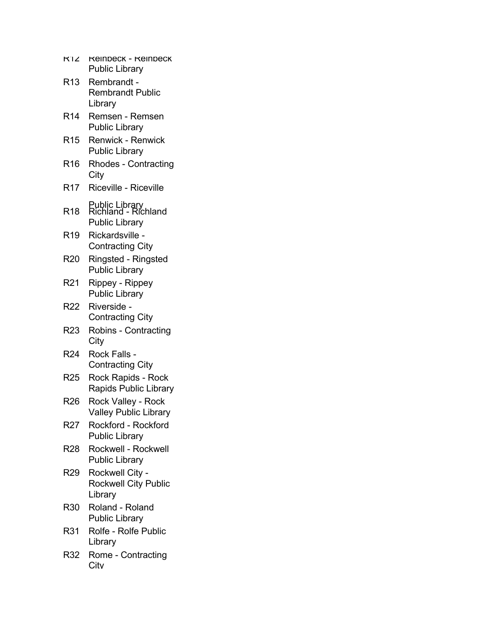| <b>KIZ</b>      | <b>Reindeck - Reindeck</b><br><b>Public Library</b>            |
|-----------------|----------------------------------------------------------------|
| R <sub>13</sub> | Rembrandt -<br><b>Rembrandt Public</b><br>Library              |
| R14             | Remsen - Remsen<br><b>Public Library</b>                       |
| R <sub>15</sub> | <b>Renwick - Renwick</b><br><b>Public Library</b>              |
| R <sub>16</sub> | <b>Rhodes - Contracting</b><br>City                            |
| R <sub>17</sub> | <b>Riceville - Riceville</b>                                   |
| R <sub>18</sub> | Public Library<br>Richland - Richland<br><b>Public Library</b> |
| R <sub>19</sub> | Rickardsville -<br><b>Contracting City</b>                     |
| R <sub>20</sub> | Ringsted - Ringsted<br><b>Public Library</b>                   |
| R <sub>21</sub> | Rippey - Rippey<br><b>Public Library</b>                       |
| R22             | Riverside ·<br><b>Contracting City</b>                         |
| R <sub>23</sub> | <b>Robins - Contracting</b><br>City                            |
| R <sub>24</sub> | <b>Rock Falls</b><br><b>Contracting City</b>                   |
| R <sub>25</sub> | <b>Rock Rapids - Rock</b><br><b>Rapids Public Library</b>      |
| R <sub>26</sub> | Rock Valley - Rock<br><b>Valley Public Library</b>             |
| R27             | Rockford - Rockford<br><b>Public Library</b>                   |
| <b>R28</b>      | Rockwell - Rockwell<br><b>Public Library</b>                   |
| R <sub>29</sub> | Rockwell City -<br><b>Rockwell City Public</b><br>Library      |
| R30             | Roland - Roland<br><b>Public Library</b>                       |
| R31             | <b>Rolfe - Rolfe Public</b><br>Library                         |
| R32             | Rome - Contracting<br>Citv                                     |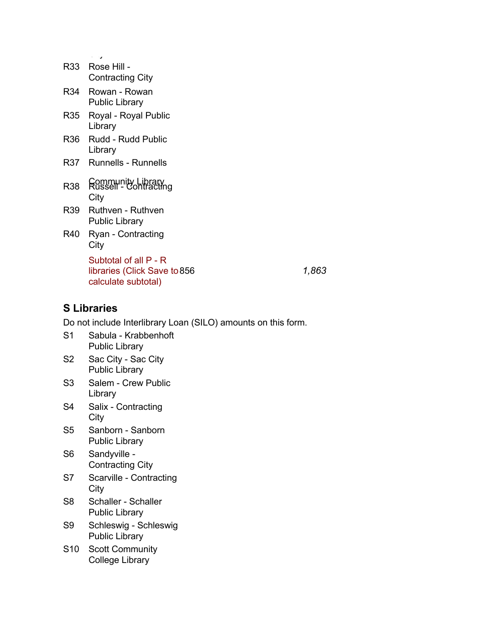| R33.       | Rose Hill -<br><b>Contracting City</b>                                       |
|------------|------------------------------------------------------------------------------|
| R34        | Rowan - Rowan<br><b>Public Library</b>                                       |
| R35        | Royal - Royal Public<br>Library                                              |
| R36        | Rudd - Rudd Public<br>Library                                                |
| R37        | <b>Runnells - Runnells</b>                                                   |
| <b>R38</b> | Community Library<br>Russell - Contracting<br>City                           |
| R39        | Ruthven - Ruthven<br>Public Library                                          |
| R40        | Ryan - Contracting<br>City                                                   |
|            | Subtotal of all P - R<br>libraries (Click Save to 856<br>calculate subtotal) |

856 *1,863*

## **S Libraries**

- S1 Sabula Krabbenhoft Public Library
- S2 Sac City Sac City Public Library
- S3 Salem Crew Public Library
- S4 Salix Contracting **City**
- S5 Sanborn Sanborn Public Library
- S6 Sandyville Contracting City
- S7 Scarville Contracting City
- S8 Schaller Schaller Public Library
- S9 Schleswig Schleswig Public Library
- S10 Scott Community College Library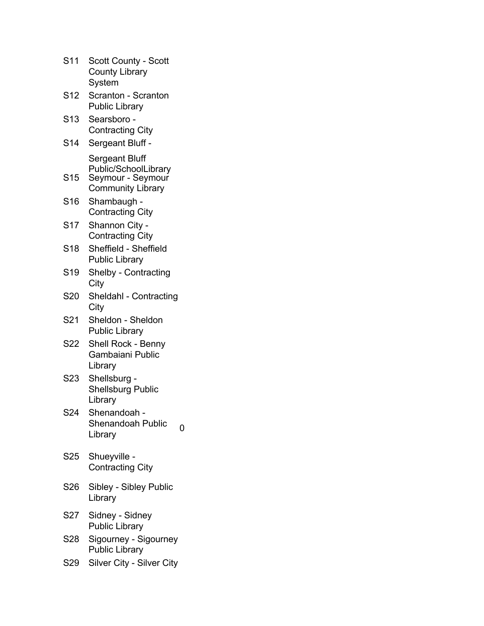| S <sub>11</sub>  | <b>Scott County - Scott</b><br><b>County Library</b><br>System                          |
|------------------|-----------------------------------------------------------------------------------------|
| S <sub>12</sub>  | Scranton - Scranton<br><b>Public Library</b>                                            |
| S <sub>13</sub>  | Searsboro -<br><b>Contracting City</b>                                                  |
| S <sub>14</sub>  | Sergeant Bluff -                                                                        |
| S <sub>15</sub>  | Sergeant Bluff<br>Public/SchoolLibrary<br>Seymour - Seymour<br><b>Community Library</b> |
| S16              | Shambaugh -<br><b>Contracting City</b>                                                  |
| S <sub>17</sub>  | Shannon City -<br><b>Contracting City</b>                                               |
| S <sub>18</sub>  | Sheffield - Sheffield<br><b>Public Library</b>                                          |
| S <sub>19</sub>  | <b>Shelby - Contracting</b><br>City                                                     |
| S20              | Sheldahl - Contracting<br>City                                                          |
| S21              | Sheldon - Sheldon<br><b>Public Library</b>                                              |
| S22              | Shell Rock - Benny<br>Gambaiani Public<br>Library                                       |
| S <sub>2</sub> 3 | Shellsburg -<br><b>Shellsburg Public</b><br>Library                                     |
| S24              | Shenandoah -<br><b>Shenandoah Public</b><br>0<br>Library                                |
| S <sub>25</sub>  | Shueyville -<br><b>Contracting City</b>                                                 |
| S <sub>26</sub>  | Sibley - Sibley Public<br>Library                                                       |
| S27              | Sidney - Sidney<br><b>Public Library</b>                                                |
| S28              | Sigourney - Sigourney<br><b>Public Library</b>                                          |
| S29              | Silver City - Silver City                                                               |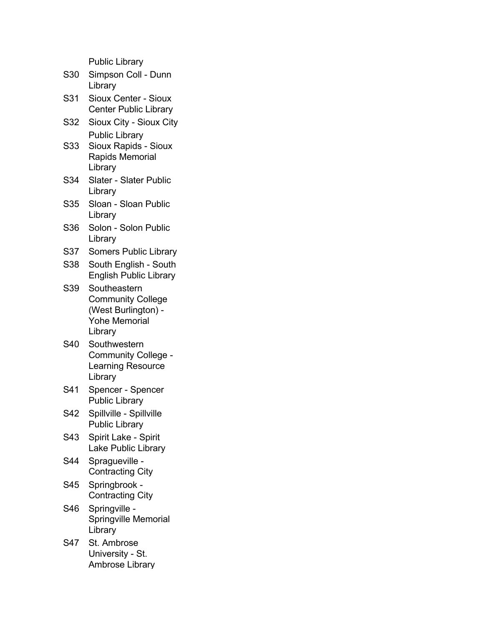| S30 | Simpson Coll - Dunn<br>Library                                                                     |
|-----|----------------------------------------------------------------------------------------------------|
| S31 | Sioux Center - Sioux<br><b>Center Public Library</b>                                               |
| S32 | Sioux City - Sioux City                                                                            |
| S33 | <b>Public Library</b><br>Sioux Rapids - Sioux<br>Rapids Memorial<br>Library                        |
| S34 | <b>Slater - Slater Public</b><br>Library                                                           |
| S35 | Sloan - Sloan Public<br>Library                                                                    |
| S36 | Solon - Solon Public<br>Library                                                                    |
| S37 | <b>Somers Public Library</b>                                                                       |
| S38 | South English - South<br><b>English Public Library</b>                                             |
| S39 | Southeastern<br><b>Community College</b><br>(West Burlington) -<br><b>Yohe Memorial</b><br>Library |
| S40 | Southwestern<br><b>Community College -</b><br>Learning Resource<br>Library                         |
| S41 | Spencer - Spencer<br><b>Public Library</b>                                                         |
| S42 | Spillville - Spillville<br>Public Library                                                          |
| S43 | Spirit Lake - Spirit<br><b>Lake Public Library</b>                                                 |
| S44 | Spragueville -<br><b>Contracting City</b>                                                          |
| S45 | Springbrook -<br><b>Contracting City</b>                                                           |
| S46 | Springville -<br>Springville Memorial<br>Library                                                   |
| S47 | St. Ambrose                                                                                        |

S47 St. Ambrose University - St. Ambrose Library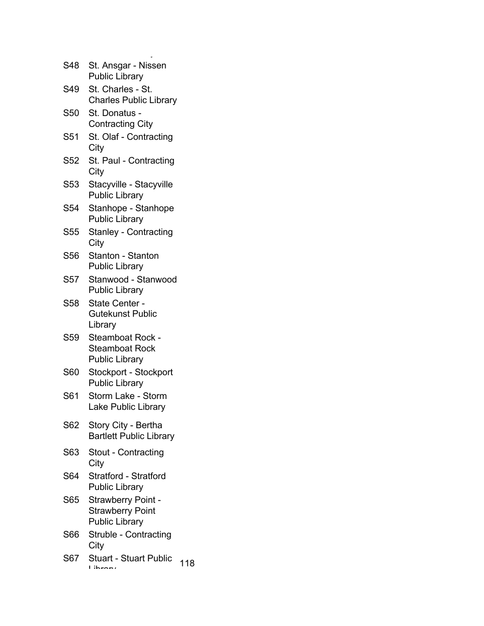| S48             | St. Ansgar - Nissen<br><b>Public Library</b>                                  |     |
|-----------------|-------------------------------------------------------------------------------|-----|
| S49             | St. Charles - St.<br><b>Charles Public Library</b>                            |     |
| S <sub>50</sub> | St. Donatus -<br><b>Contracting City</b>                                      |     |
| S <sub>51</sub> | St. Olaf - Contracting<br>City                                                |     |
| S <sub>52</sub> | St. Paul - Contracting<br>City                                                |     |
| S <sub>53</sub> | Stacyville - Stacyville<br><b>Public Library</b>                              |     |
| S <sub>54</sub> | Stanhope - Stanhope<br><b>Public Library</b>                                  |     |
| <b>S55</b>      | <b>Stanley - Contracting</b><br>City                                          |     |
| S <sub>56</sub> | Stanton - Stanton<br><b>Public Library</b>                                    |     |
| S <sub>57</sub> | Stanwood - Stanwood<br><b>Public Library</b>                                  |     |
| S58             | State Center -<br>Gutekunst Public<br>Library                                 |     |
| S59             | <b>Steamboat Rock -</b><br><b>Steamboat Rock</b><br><b>Public Library</b>     |     |
| <b>S60</b>      | Stockport - Stockport<br><b>Public Library</b>                                |     |
| S61             | Storm Lake - Storm<br>Lake Public Library                                     |     |
| S62             | Story City - Bertha<br><b>Bartlett Public Library</b>                         |     |
| S63             | <b>Stout - Contracting</b><br>City                                            |     |
| S64             | <b>Stratford - Stratford</b><br><b>Public Library</b>                         |     |
| S65             | <b>Strawberry Point -</b><br><b>Strawberry Point</b><br><b>Public Library</b> |     |
| <b>S66</b>      | Struble - Contracting<br>City                                                 |     |
| S67             | Stuart - Stuart Public<br>$i$ hroni                                           | 118 |
|                 |                                                                               |     |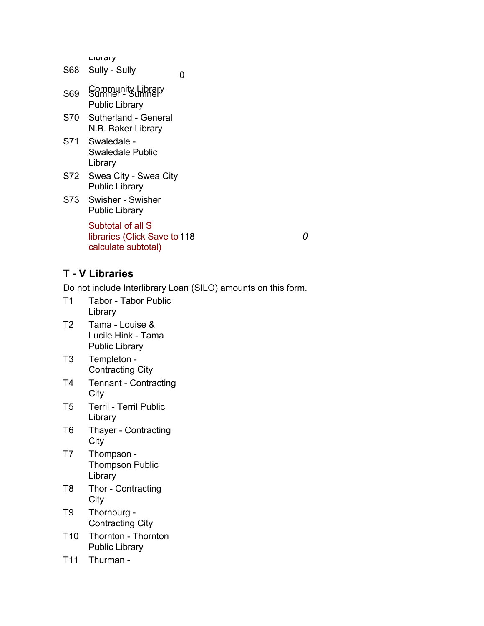Library

| S68 | Sully - Sully                                                            | O |   |
|-----|--------------------------------------------------------------------------|---|---|
| S69 | Community Library<br>Sumner - Sumner<br><b>Public Library</b>            |   |   |
|     | S70 Sutherland - General<br>N.B. Baker Library                           |   |   |
|     | S71 Swaledale -<br>Swaledale Public<br>Library                           |   |   |
| S72 | Swea City - Swea City<br><b>Public Library</b>                           |   |   |
| S73 | Swisher - Swisher<br><b>Public Library</b>                               |   |   |
|     | Subtotal of all S<br>libraries (Click Save to 118<br>calculate subtotal) |   | O |
|     |                                                                          |   |   |

**T - V Libraries**

- T1 Tabor Tabor Public Library
- T2 Tama Louise & Lucile Hink - Tama Public Library
- T3 Templeton Contracting City
- T4 Tennant Contracting **City**
- T5 Terril Terril Public Library
- T6 Thayer Contracting **City**
- T7 Thompson Thompson Public Library
- T8 Thor Contracting **City**
- T9 Thornburg Contracting City
- T10 Thornton Thornton Public Library
- T11 Thurman -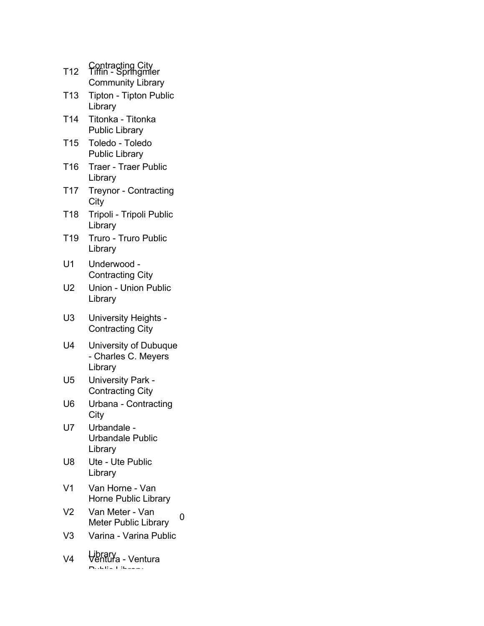| T <sub>12</sub> | Contracting City<br>Tiffin - Springmier                 |
|-----------------|---------------------------------------------------------|
|                 | <b>Community Library</b>                                |
| T <sub>13</sub> | <b>Tipton - Tipton Public</b><br>Library                |
| T <sub>14</sub> | Titonka - Titonka<br><b>Public Library</b>              |
| T <sub>15</sub> | Toledo - Toledo<br><b>Public Library</b>                |
| T <sub>16</sub> | <b>Traer - Traer Public</b><br>Library                  |
| T <sub>17</sub> | <b>Treynor - Contracting</b><br>City                    |
| T18             | Tripoli - Tripoli Public<br>Library                     |
| T <sub>19</sub> | Truro - Truro Public<br>Library                         |
| U1              | Underwood -<br><b>Contracting City</b>                  |
| U2              | Union - Union Public<br>Library                         |
| U <sub>3</sub>  | University Heights -<br><b>Contracting City</b>         |
| U4              | University of Dubuque<br>- Charles C. Meyers<br>Library |
| U5              | University Park -<br><b>Contracting City</b>            |
| U6              | Urbana - Contracting<br>City                            |
| U7              | Urbandale -<br>Urbandale Public<br>Library              |
| U8              | Ute - Ute Public<br>Library                             |
| V1              | Van Horne - Van<br><b>Horne Public Library</b>          |
| V2              | Van Meter - Van<br>O<br><b>Meter Public Library</b>     |
| V3              | Varina - Varina Public                                  |
| V <sub>4</sub>  | _ibrary<br>√entura - Ventura                            |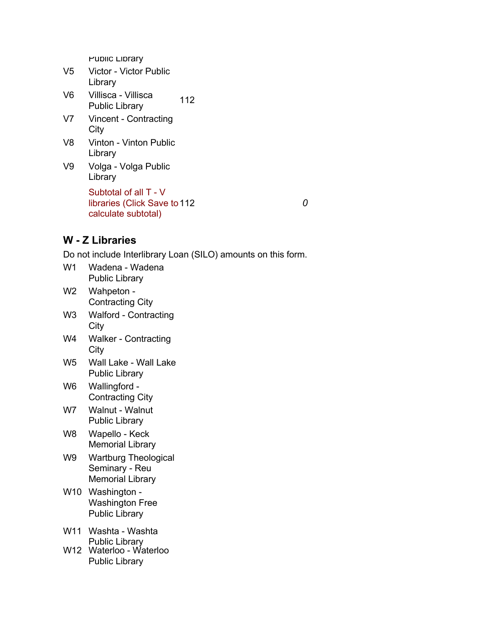| V5 | <b>Victor - Victor Public</b> |  |
|----|-------------------------------|--|
|    | Library                       |  |
| V6 | Villisca - Villisca           |  |

- Villisca Villisca<br>Public Library 112
- V7 Vincent Contracting **City**
- V8 Vinton Vinton Public Library
- V9 Volga Volga Public Library Subtotal of all T - V libraries (Click Save to 112 *0* calculate subtotal)

## **W - Z Libraries**

- W1 Wadena Wadena Public Library
- W2 Wahpeton Contracting City
- W3 Walford Contracting City
- W4 Walker Contracting **City**
- W5 Wall Lake Wall Lake Public Library
- W6 Wallingford Contracting City
- W7 Walnut Walnut Public Library
- W8 Wapello Keck Memorial Library
- W9 Wartburg Theological Seminary - Reu Memorial Library
- W10 Washington Washington Free Public Library
- W11 Washta Washta Public Library W12 Waterloo - Waterloo
- Public Library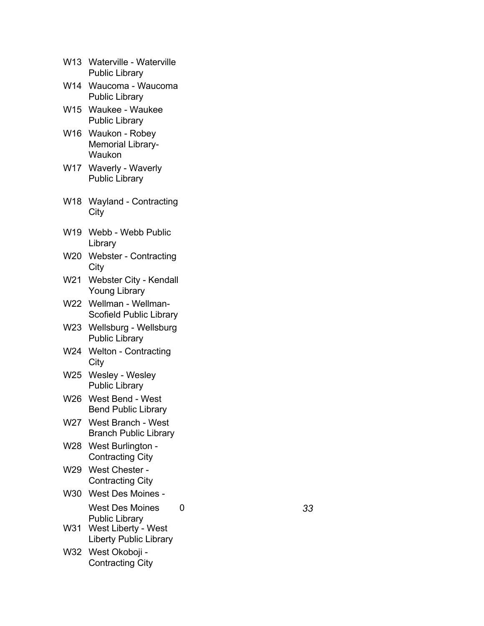| W13 Waterville - Waterville |
|-----------------------------|
| <b>Public Library</b>       |

- W14 Waucoma Waucoma Public Library
- W15 Waukee Waukee Public Library
- W<sub>16</sub> Waukon Robey Memorial Library-Waukon
- W17 Waverly Waverly Public Library
- W18 Wayland Contracting **City**
- W19 Webb Webb Public Library
- W20 Webster Contracting City
- W21 Webster City Kendall Young Library
- W22 Wellman Wellman-Scofield Public Library
- W23 Wellsburg Wellsburg Public Library
- W24 Welton Contracting **City**
- W25 Wesley Wesley Public Library
- W26 West Bend West Bend Public Library
- W27 West Branch West Branch Public Library
- W28 West Burlington Contracting City
- W29 West Chester Contracting City
- W30 West Des Moines West Des Moines Public Library
- W31 West Liberty West Liberty Public Library
- W32 West Okoboji Contracting City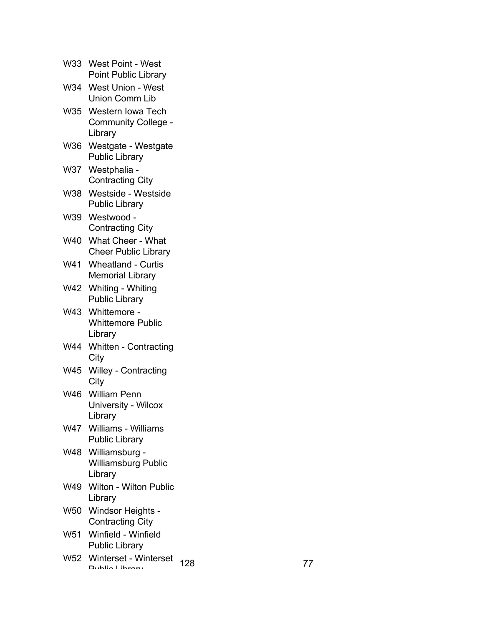|     | W33 West Point - West<br><b>Point Public Library</b>        |           |  |
|-----|-------------------------------------------------------------|-----------|--|
|     | W34 West Union - West<br>Union Comm Lib                     |           |  |
|     | W35 Western Iowa Tech<br>Community College -<br>Library     |           |  |
|     | W36 Westgate - Westgate<br><b>Public Library</b>            |           |  |
|     | W37 Westphalia -<br><b>Contracting City</b>                 |           |  |
|     | W38 Westside - Westside<br><b>Public Library</b>            |           |  |
|     | W39 Westwood -<br><b>Contracting City</b>                   |           |  |
|     | W40 What Cheer - What<br><b>Cheer Public Library</b>        |           |  |
| W41 | <b>Wheatland - Curtis</b><br><b>Memorial Library</b>        |           |  |
|     | W42 Whiting - Whiting<br><b>Public Library</b>              |           |  |
|     | W43 Whittemore -<br><b>Whittemore Public</b><br>Library     |           |  |
|     | W44 Whitten - Contracting<br>City                           |           |  |
|     | W45 Willey - Contracting<br>City                            |           |  |
| W46 | <b>William Penn</b><br>University - Wilcox<br>Library       |           |  |
| W47 | Williams - Williams<br><b>Public Library</b>                |           |  |
|     | W48 Williamsburg -<br><b>Williamsburg Public</b><br>Library |           |  |
| W49 | Wilton - Wilton Public<br>Library                           |           |  |
| W50 | Windsor Heights -<br><b>Contracting City</b>                |           |  |
| W51 | Winfield - Winfield<br><b>Public Library</b>                |           |  |
|     | W52 Winterset - Winterset<br>Dublin Librant                 | 128<br>77 |  |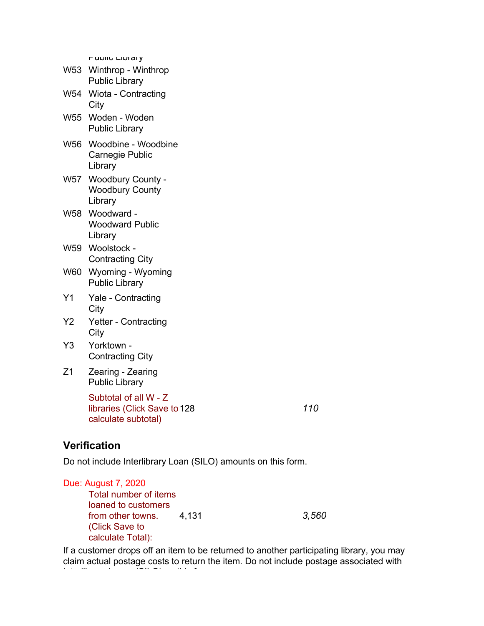| W53 | Winthrop - Winthrop<br><b>Public Library</b>                  |
|-----|---------------------------------------------------------------|
| W54 | Wiota - Contracting<br>City                                   |
| W55 | Woden - Woden<br><b>Public Library</b>                        |
| W56 | Woodbine - Woodbine<br>Carnegie Public<br>Library             |
| W57 | <b>Woodbury County -</b><br><b>Woodbury County</b><br>Library |
| W58 | Woodward -<br><b>Woodward Public</b><br>Library               |
| W59 | Woolstock -<br><b>Contracting City</b>                        |
| W60 | Wyoming - Wyoming<br><b>Public Library</b>                    |
| Y1  | Yale - Contracting<br>City                                    |
| Y2  | <b>Yetter - Contracting</b><br>City                           |
| Y3  | Yorktown -<br><b>Contracting City</b>                         |
| Ζ1  | Zearing - Zearing<br><b>Public Library</b>                    |
|     | Subtotal of all W - Z<br>libraries (Click Save to 128         |

calculate subtotal)

128 *110*

## **Verification**

Do not include Interlibrary Loan (SILO) amounts on this form.

| Total number of items |       |
|-----------------------|-------|
|                       |       |
| 4.131                 | 3,560 |
|                       |       |
|                       |       |
|                       |       |

If a customer drops off an item to be returned to another participating library, you may claim actual postage costs to return the item. Do not include postage associated with Interlibrary Loans (SILO) on this form.